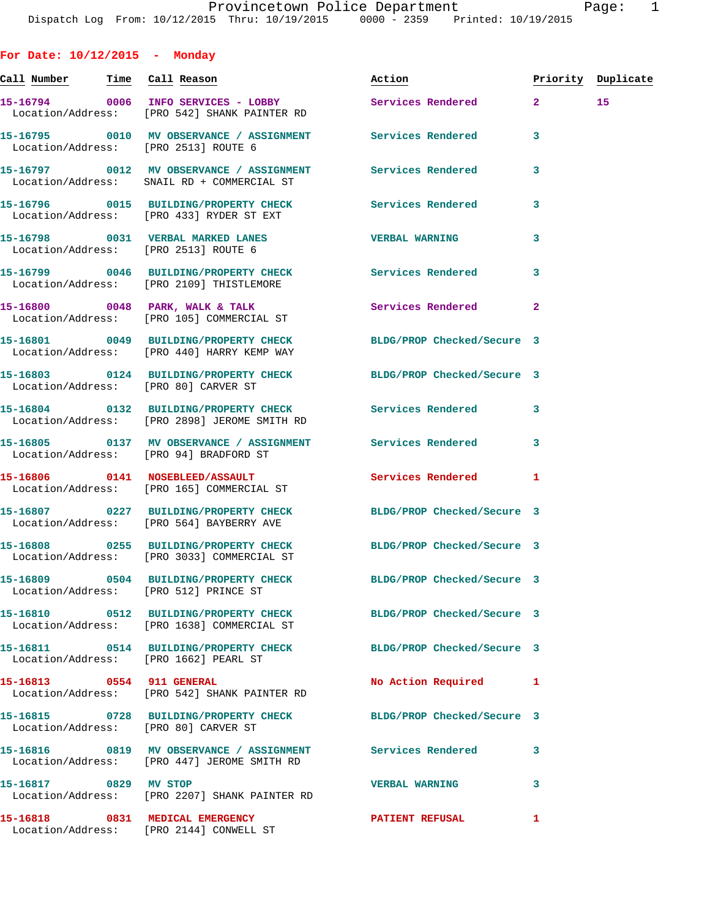**For Date: 10/12/2015 - Monday Call Number Time Call Reason Action Priority Duplicate 15-16794 0006 INFO SERVICES - LOBBY Services Rendered 2 15**  Location/Address: [PRO 542] SHANK PAINTER RD **15-16795 0010 MV OBSERVANCE / ASSIGNMENT Services Rendered 3**  Location/Address: [PRO 2513] ROUTE 6 **15-16797 0012 MV OBSERVANCE / ASSIGNMENT Services Rendered 3**  Location/Address: SNAIL RD + COMMERCIAL ST **15-16796 0015 BUILDING/PROPERTY CHECK Services Rendered 3**  Location/Address: [PRO 433] RYDER ST EXT **15-16798 0031 VERBAL MARKED LANES VERBAL WARNING 3**  Location/Address: [PRO 2513] ROUTE 6 **15-16799 0046 BUILDING/PROPERTY CHECK Services Rendered 3**  Location/Address: [PRO 2109] THISTLEMORE 15-16800 0048 PARK, WALK & TALK **Services Rendered** 2 Location/Address: [PRO 105] COMMERCIAL ST **15-16801 0049 BUILDING/PROPERTY CHECK BLDG/PROP Checked/Secure 3**  Location/Address: [PRO 440] HARRY KEMP WAY **15-16803 0124 BUILDING/PROPERTY CHECK BLDG/PROP Checked/Secure 3**  Location/Address: [PRO 80] CARVER ST **15-16804 0132 BUILDING/PROPERTY CHECK Services Rendered 3**  Location/Address: [PRO 2898] JEROME SMITH RD **15-16805 0137 MV OBSERVANCE / ASSIGNMENT Services Rendered 3**  Location/Address: [PRO 94] BRADFORD ST **15-16806 0141 NOSEBLEED/ASSAULT Services Rendered 1**  Location/Address: [PRO 165] COMMERCIAL ST **15-16807 0227 BUILDING/PROPERTY CHECK BLDG/PROP Checked/Secure 3**  Location/Address: [PRO 564] BAYBERRY AVE **15-16808 0255 BUILDING/PROPERTY CHECK BLDG/PROP Checked/Secure 3**  Location/Address: [PRO 3033] COMMERCIAL ST **15-16809 0504 BUILDING/PROPERTY CHECK BLDG/PROP Checked/Secure 3**  Location/Address: [PRO 512] PRINCE ST **15-16810 0512 BUILDING/PROPERTY CHECK BLDG/PROP Checked/Secure 3**  Location/Address: [PRO 1638] COMMERCIAL ST **15-16811 0514 BUILDING/PROPERTY CHECK BLDG/PROP Checked/Secure 3**  Location/Address: [PRO 1662] PEARL ST **15-16813 0554 911 GENERAL No Action Required 1**  Location/Address: [PRO 542] SHANK PAINTER RD **15-16815 0728 BUILDING/PROPERTY CHECK BLDG/PROP Checked/Secure 3**  Location/Address: [PRO 80] CARVER ST **15-16816 0819 MV OBSERVANCE / ASSIGNMENT Services Rendered 3**  Location/Address: [PRO 447] JEROME SMITH RD **15-16817 0829 MV STOP VERBAL WARNING 3** 

**15-16818 0831 MEDICAL EMERGENCY PATIENT REFUSAL 1** 

Location/Address: [PRO 2207] SHANK PAINTER RD

Location/Address: [PRO 2144] CONWELL ST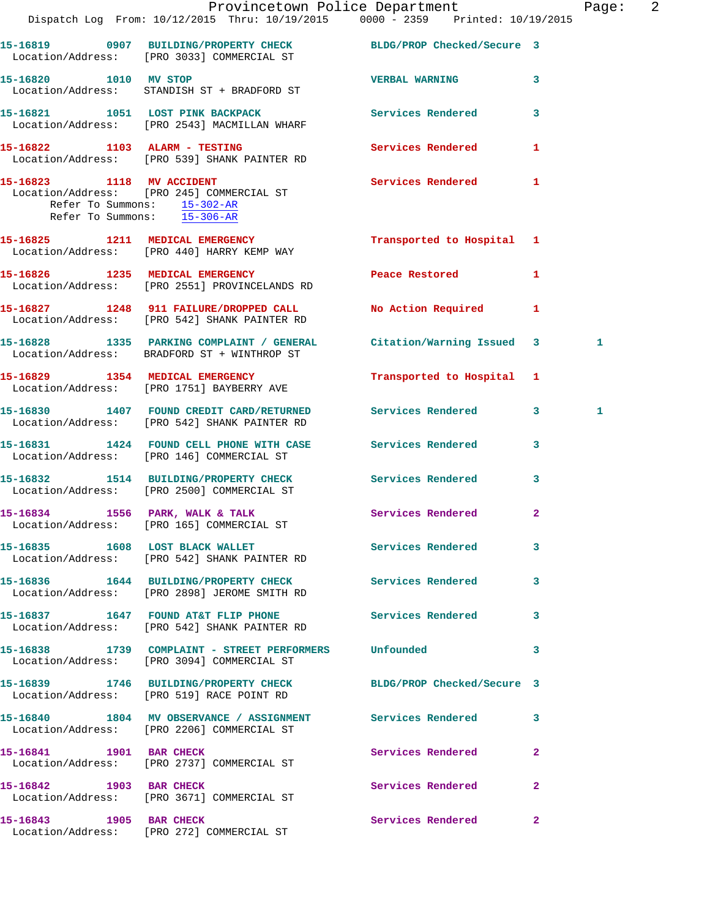|                             | Dispatch Log From: 10/12/2015 Thru: 10/19/2015 0000 - 2359 Printed: 10/19/2015                                     | Provincetown Police Department  |              | Page: | $\overline{\phantom{0}}^2$ |
|-----------------------------|--------------------------------------------------------------------------------------------------------------------|---------------------------------|--------------|-------|----------------------------|
|                             | 15-16819 0907 BUILDING/PROPERTY CHECK BLDG/PROP Checked/Secure 3                                                   |                                 |              |       |                            |
|                             | Location/Address: [PRO 3033] COMMERCIAL ST                                                                         |                                 |              |       |                            |
| 15-16820 1010 MV STOP       | Location/Address: STANDISH ST + BRADFORD ST                                                                        | VERBAL WARNING 3                |              |       |                            |
|                             | 15-16821 1051 LOST PINK BACKPACK<br>Location/Address: [PRO 2543] MACMILLAN WHARF                                   | <b>Services Rendered</b>        | $\mathbf{3}$ |       |                            |
|                             | 15-16822 1103 ALARM - TESTING<br>Location/Address: [PRO 539] SHANK PAINTER RD                                      | Services Rendered               | 1            |       |                            |
| Refer To Summons: 15-306-AR | 15-16823 1118 MV ACCIDENT<br>Location/Address: [PRO 245] COMMERCIAL ST<br>Refer To Summons: 15-302-AR              | Services Rendered               | $\mathbf{1}$ |       |                            |
|                             | 15-16825 1211 MEDICAL EMERGENCY<br>Location/Address: [PRO 440] HARRY KEMP WAY                                      | Transported to Hospital 1       |              |       |                            |
|                             | 15-16826 1235 MEDICAL EMERGENCY<br>Location/Address: [PRO 2551] PROVINCELANDS RD                                   | Peace Restored and the Restored | 1            |       |                            |
|                             | 15-16827 1248 911 FAILURE/DROPPED CALL<br>Location/Address: [PRO 542] SHANK PAINTER RD                             | No Action Required              | $\mathbf{1}$ |       |                            |
|                             | 15-16828 1335 PARKING COMPLAINT / GENERAL Citation/Warning Issued 3<br>Location/Address: BRADFORD ST + WINTHROP ST |                                 |              | 1     |                            |
|                             | 15-16829 1354 MEDICAL EMERGENCY<br>Location/Address: [PRO 1751] BAYBERRY AVE                                       | Transported to Hospital 1       |              |       |                            |
|                             | 15-16830 1407 FOUND CREDIT CARD/RETURNED<br>Location/Address: [PRO 542] SHANK PAINTER RD                           | Services Rendered               | $\mathbf{3}$ | 1     |                            |
|                             | 15-16831 1424 FOUND CELL PHONE WITH CASE Services Rendered<br>Location/Address: [PRO 146] COMMERCIAL ST            |                                 | 3            |       |                            |
|                             | 15-16832 1514 BUILDING/PROPERTY CHECK<br>Location/Address: [PRO 2500] COMMERCIAL ST                                | <b>Services Rendered</b>        | 3            |       |                            |
|                             | 15-16834 1556 PARK, WALK & TALK<br>Location/Address: [PRO 165] COMMERCIAL ST                                       | Services Rendered 2             |              |       |                            |
|                             | 15-16835 1608 LOST BLACK WALLET<br>Location/Address: [PRO 542] SHANK PAINTER RD                                    | Services Rendered 3             |              |       |                            |
|                             | 15-16836 1644 BUILDING/PROPERTY CHECK<br>Location/Address: [PRO 2898] JEROME SMITH RD                              | Services Rendered               | 3            |       |                            |
|                             | 15-16837 1647 FOUND AT&T FLIP PHONE<br>Location/Address: [PRO 542] SHANK PAINTER RD                                | Services Rendered 3             |              |       |                            |
|                             | 15-16838 1739 COMPLAINT - STREET PERFORMERS Unfounded<br>Location/Address: [PRO 3094] COMMERCIAL ST                |                                 | 3            |       |                            |
|                             | 15-16839 1746 BUILDING/PROPERTY CHECK BLDG/PROP Checked/Secure 3<br>Location/Address: [PRO 519] RACE POINT RD      |                                 |              |       |                            |
|                             | 15-16840 1804 MV OBSERVANCE / ASSIGNMENT Services Rendered<br>Location/Address: [PRO 2206] COMMERCIAL ST           |                                 | -3           |       |                            |
| 15-16841 1901 BAR CHECK     | Location/Address: [PRO 2737] COMMERCIAL ST                                                                         | Services Rendered               | $\mathbf{2}$ |       |                            |
|                             | 15-16842 1903 BAR CHECK<br>Location/Address: [PRO 3671] COMMERCIAL ST                                              | Services Rendered               | $\mathbf{2}$ |       |                            |
| 15-16843 1905 BAR CHECK     | Location/Address: [PRO 272] COMMERCIAL ST                                                                          | Services Rendered               | $\mathbf{2}$ |       |                            |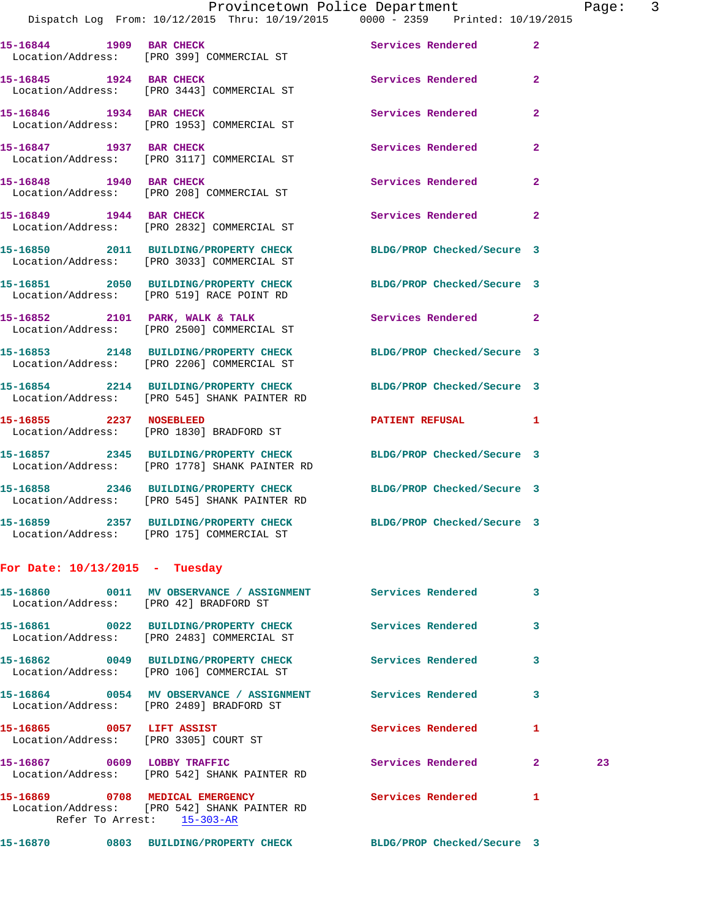**15-16844 1909 BAR CHECK Services Rendered 2**  Location/Address: [PRO 399] COMMERCIAL ST **15-16845 1924 BAR CHECK Services Rendered 2**  Location/Address: [PRO 3443] COMMERCIAL ST **15-16846 1934 BAR CHECK Services Rendered 2**  Location/Address: [PRO 1953] COMMERCIAL ST 15-16847 1937 BAR CHECK **1988 Services Rendered** 2 Location/Address: [PRO 3117] COMMERCIAL ST 15-16848 1940 BAR CHECK **1988 1988 Services Rendered** 2 Location/Address: [PRO 208] COMMERCIAL ST 15-16849 1944 BAR CHECK Services Rendered 2 Location/Address: [PRO 2832] COMMERCIAL ST **15-16850 2011 BUILDING/PROPERTY CHECK BLDG/PROP Checked/Secure 3**  Location/Address: [PRO 3033] COMMERCIAL ST **15-16851 2050 BUILDING/PROPERTY CHECK BLDG/PROP Checked/Secure 3**  Location/Address: [PRO 519] RACE POINT RD 15-16852 2101 PARK, WALK & TALK 2 Services Rendered 2 Location/Address: [PRO 2500] COMMERCIAL ST **15-16853 2148 BUILDING/PROPERTY CHECK BLDG/PROP Checked/Secure 3**  Location/Address: [PRO 2206] COMMERCIAL ST **15-16854 2214 BUILDING/PROPERTY CHECK BLDG/PROP Checked/Secure 3**  Location/Address: [PRO 545] SHANK PAINTER RD **15-16855 2237 NOSEBLEED PATIENT REFUSAL 1**  Location/Address: [PRO 1830] BRADFORD ST **15-16857 2345 BUILDING/PROPERTY CHECK BLDG/PROP Checked/Secure 3**  Location/Address: [PRO 1778] SHANK PAINTER RD **15-16858 2346 BUILDING/PROPERTY CHECK BLDG/PROP Checked/Secure 3**  Location/Address: [PRO 545] SHANK PAINTER RD **15-16859 2357 BUILDING/PROPERTY CHECK BLDG/PROP Checked/Secure 3**  Location/Address: [PRO 175] COMMERCIAL ST **For Date: 10/13/2015 - Tuesday 15-16860 0011 MV OBSERVANCE / ASSIGNMENT Services Rendered 3**  Location/Address: [PRO 42] BRADFORD ST **15-16861 0022 BUILDING/PROPERTY CHECK Services Rendered 3**  Location/Address: [PRO 2483] COMMERCIAL ST **15-16862 0049 BUILDING/PROPERTY CHECK Services Rendered 3**  Location/Address: [PRO 106] COMMERCIAL ST **15-16864 0054 MV OBSERVANCE / ASSIGNMENT Services Rendered 3**  Location/Address: [PRO 2489] BRADFORD ST **15-16865 0057 LIFT ASSIST Services Rendered 1**  Location/Address: [PRO 3305] COURT ST **15-16867 0609 LOBBY TRAFFIC Services Rendered 2 23**  Location/Address: [PRO 542] SHANK PAINTER RD 15-16869 0708 MEDICAL EMERGENCY Services Rendered 1 Location/Address: [PRO 542] SHANK PAINTER RD Refer To Arrest: 15-303-AR **15-16870 0803 BUILDING/PROPERTY CHECK BLDG/PROP Checked/Secure 3**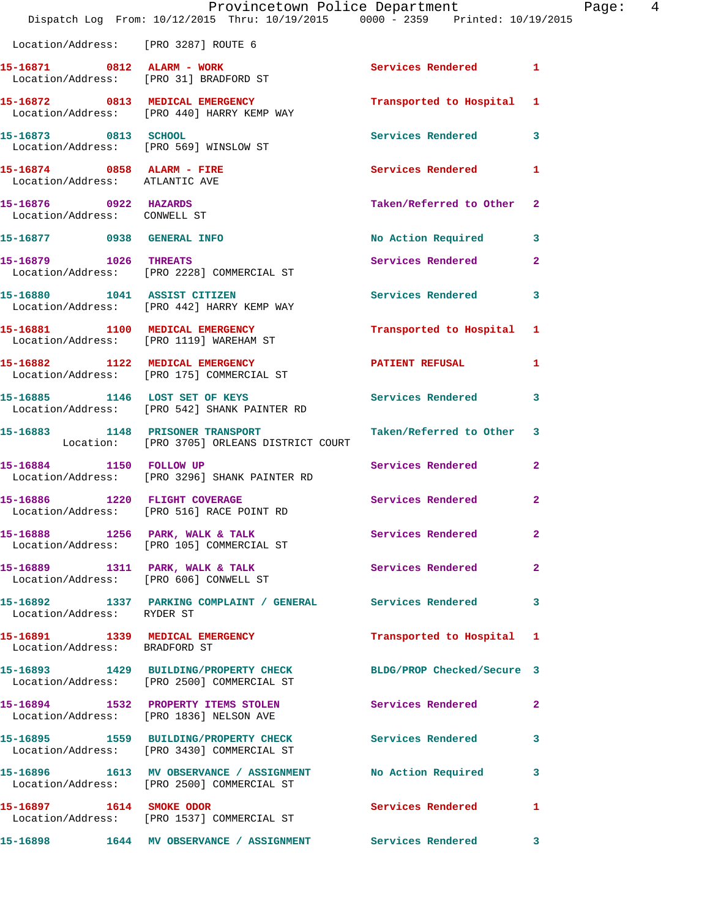|                                                                | Dispatch Log From: 10/12/2015 Thru: 10/19/2015 0000 - 2359 Printed: 10/19/2015                                 | Provincetown Police Department | Page: 4        |
|----------------------------------------------------------------|----------------------------------------------------------------------------------------------------------------|--------------------------------|----------------|
| Location/Address: [PRO 3287] ROUTE 6                           |                                                                                                                |                                |                |
|                                                                | 15-16871 0812 ALARM - WORK<br>Location/Address: [PRO 31] BRADFORD ST                                           | Services Rendered 1            |                |
|                                                                | 15-16872 0813 MEDICAL EMERGENCY<br>Location/Address: [PRO 440] HARRY KEMP WAY                                  | Transported to Hospital 1      |                |
| 15-16873 0813 SCHOOL                                           | Location/Address: [PRO 569] WINSLOW ST                                                                         | Services Rendered 3            |                |
| $15-16874$ 0858 ALARM - FIRE<br>Location/Address: ATLANTIC AVE |                                                                                                                | <b>Services Rendered</b>       | $\mathbf{1}$   |
| 15-16876 0922 HAZARDS<br>Location/Address: CONWELL ST          |                                                                                                                | Taken/Referred to Other 2      |                |
| 15-16877 0938 GENERAL INFO                                     |                                                                                                                | No Action Required 3           |                |
| 15-16879 1026 THREATS                                          | Location/Address: [PRO 2228] COMMERCIAL ST                                                                     | Services Rendered              | $\overline{2}$ |
|                                                                | 15-16880 1041 ASSIST CITIZEN<br>Location/Address: [PRO 442] HARRY KEMP WAY                                     | Services Rendered              | 3              |
|                                                                | 15-16881 1100 MEDICAL EMERGENCY<br>Location/Address: [PRO 1119] WAREHAM ST                                     | Transported to Hospital 1      |                |
|                                                                | 15-16882 1122 MEDICAL EMERGENCY<br>Location/Address: [PRO 175] COMMERCIAL ST                                   | PATIENT REFUSAL                | 1              |
|                                                                | 15-16885 1146 LOST SET OF KEYS<br>Location/Address: [PRO 542] SHANK PAINTER RD                                 | Services Rendered 3            |                |
|                                                                | 15-16883 1148 PRISONER TRANSPORT<br>Location: [PRO 3705] ORLEANS DISTRICT COURT                                | Taken/Referred to Other 3      |                |
| 15-16884 1150 FOLLOW UP                                        | Location/Address: [PRO 3296] SHANK PAINTER RD                                                                  | Services Rendered              | $\mathbf{2}$   |
|                                                                | 15-16886 1220 FLIGHT COVERAGE<br>Location/Address: [PRO 516] RACE POINT RD                                     | <b>Services Rendered</b>       | $\mathbf{2}$   |
|                                                                | 15-16888 1256 PARK, WALK & TALK 1998 Services Rendered 2<br>Location/Address: [PRO 105] COMMERCIAL ST          |                                |                |
|                                                                | 15-16889 1311 PARK, WALK & TALK 1998 Services Rendered 2<br>Location/Address: [PRO 606] CONWELL ST             |                                |                |
| Location/Address: RYDER ST                                     | 15-16892 1337 PARKING COMPLAINT / GENERAL Services Rendered 3                                                  |                                |                |
| Location/Address: BRADFORD ST                                  | 15-16891 1339 MEDICAL EMERGENCY                                                                                | Transported to Hospital 1      |                |
|                                                                | 15-16893 1429 BUILDING/PROPERTY CHECK BLDG/PROP Checked/Secure 3<br>Location/Address: [PRO 2500] COMMERCIAL ST |                                |                |
|                                                                | 15-16894 1532 PROPERTY ITEMS STOLEN Services Rendered<br>Location/Address: [PRO 1836] NELSON AVE               |                                | $\mathbf{2}$   |
|                                                                | 15-16895 1559 BUILDING/PROPERTY CHECK Services Rendered 3<br>Location/Address: [PRO 3430] COMMERCIAL ST        |                                |                |
|                                                                | 15-16896 1613 MV OBSERVANCE / ASSIGNMENT No Action Required 3<br>Location/Address: [PRO 2500] COMMERCIAL ST    |                                |                |
| 15-16897 1614 SMOKE ODOR                                       | Location/Address: [PRO 1537] COMMERCIAL ST                                                                     | <b>Services Rendered</b>       | $\mathbf{1}$   |
|                                                                | 15-16898 1644 MV OBSERVANCE / ASSIGNMENT Services Rendered 3                                                   |                                |                |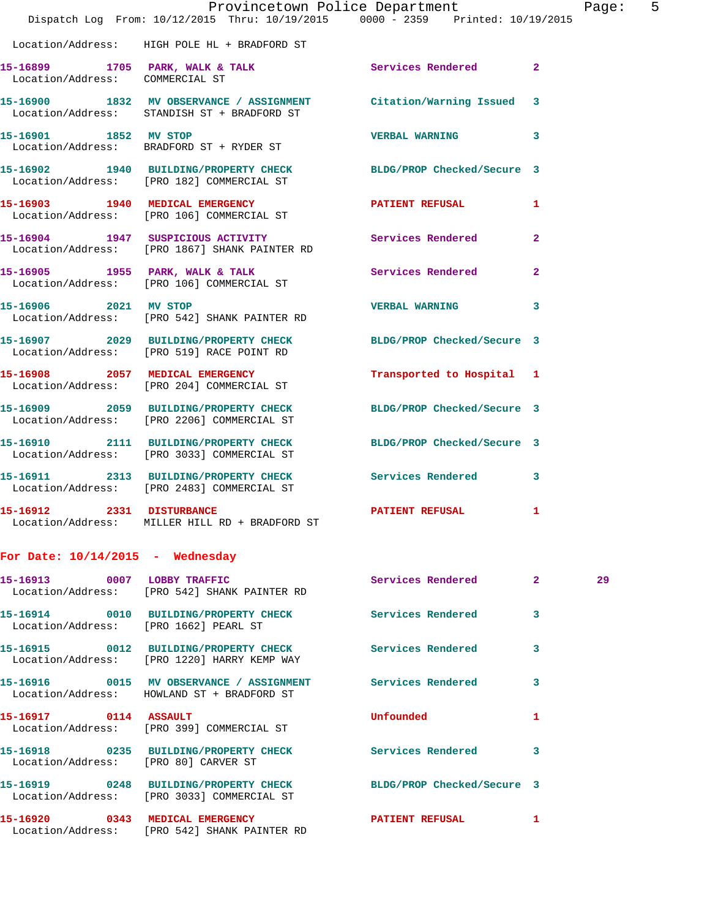|                                    | Provincetown Police Department                                                                                 |                            |                | Page |
|------------------------------------|----------------------------------------------------------------------------------------------------------------|----------------------------|----------------|------|
|                                    | Dispatch Log From: 10/12/2015 Thru: 10/19/2015 0000 - 2359 Printed: 10/19/2015                                 |                            |                |      |
|                                    | Location/Address: HIGH POLE HL + BRADFORD ST                                                                   |                            |                |      |
| Location/Address: COMMERCIAL ST    | 15-16899 1705 PARK, WALK & TALK                                                                                | Services Rendered 2        |                |      |
|                                    | 15-16900 1832 MV OBSERVANCE / ASSIGNMENT<br>Location/Address: STANDISH ST + BRADFORD ST                        | Citation/Warning Issued    | 3              |      |
| 15-16901 1852 MV STOP              | Location/Address: BRADFORD ST + RYDER ST                                                                       | <b>VERBAL WARNING</b>      | 3              |      |
|                                    | 15-16902 1940 BUILDING/PROPERTY CHECK BLDG/PROP Checked/Secure 3<br>Location/Address: [PRO 182] COMMERCIAL ST  |                            |                |      |
|                                    | 15-16903 1940 MEDICAL EMERGENCY<br>Location/Address: [PRO 106] COMMERCIAL ST                                   | PATIENT REFUSAL            | 1              |      |
|                                    | 15-16904 1947 SUSPICIOUS ACTIVITY<br>Location/Address: [PRO 1867] SHANK PAINTER RD                             | Services Rendered          | $\overline{2}$ |      |
|                                    | 15-16905 1955 PARK, WALK & TALK<br>Location/Address: [PRO 106] COMMERCIAL ST                                   | Services Rendered          | $\overline{2}$ |      |
| 15-16906 2021 MV STOP              | Location/Address: [PRO 542] SHANK PAINTER RD                                                                   | <b>VERBAL WARNING</b>      | 3              |      |
|                                    | 15-16907 2029 BUILDING/PROPERTY CHECK<br>Location/Address: [PRO 519] RACE POINT RD                             | BLDG/PROP Checked/Secure 3 |                |      |
|                                    | 15-16908 2057 MEDICAL EMERGENCY<br>Location/Address: [PRO 204] COMMERCIAL ST                                   | Transported to Hospital 1  |                |      |
|                                    | 15-16909 2059 BUILDING/PROPERTY CHECK BLDG/PROP Checked/Secure 3<br>Location/Address: [PRO 2206] COMMERCIAL ST |                            |                |      |
|                                    | 15-16910 2111 BUILDING/PROPERTY CHECK<br>Location/Address: [PRO 3033] COMMERCIAL ST                            | BLDG/PROP Checked/Secure 3 |                |      |
|                                    | 15-16911 2313 BUILDING/PROPERTY CHECK<br>Location/Address: [PRO 2483] COMMERCIAL ST                            | Services Rendered          | 3              |      |
| 15-16912 2331 DISTURBANCE          | Location/Address: MILLER HILL RD + BRADFORD ST                                                                 | PATIENT REFUSAL            | $\mathbf{1}$   |      |
| For Date: $10/14/2015$ - Wednesday |                                                                                                                |                            |                |      |
|                                    | 15-16913 0007 LOBBY TRAFFIC                                                                                    | Services Rendered 2        |                | 29   |

Page: 5

 Location/Address: [PRO 542] SHANK PAINTER RD **15-16914 0010 BUILDING/PROPERTY CHECK Services Rendered 3**  Location/Address: [PRO 1662] PEARL ST **15-16915 0012 BUILDING/PROPERTY CHECK Services Rendered 3**  Location/Address: [PRO 1220] HARRY KEMP WAY **15-16916 0015 MV OBSERVANCE / ASSIGNMENT Services Rendered 3**  Location/Address: HOWLAND ST + BRADFORD ST **15-16917 0114 ASSAULT Unfounded 1**  Location/Address: [PRO 399] COMMERCIAL ST **15-16918 0235 BUILDING/PROPERTY CHECK Services Rendered 3**  Location/Address: [PRO 80] CARVER ST **15-16919 0248 BUILDING/PROPERTY CHECK BLDG/PROP Checked/Secure 3**  Location/Address: [PRO 3033] COMMERCIAL ST **15-16920 0343 MEDICAL EMERGENCY PATIENT REFUSAL 1**  Location/Address: [PRO 542] SHANK PAINTER RD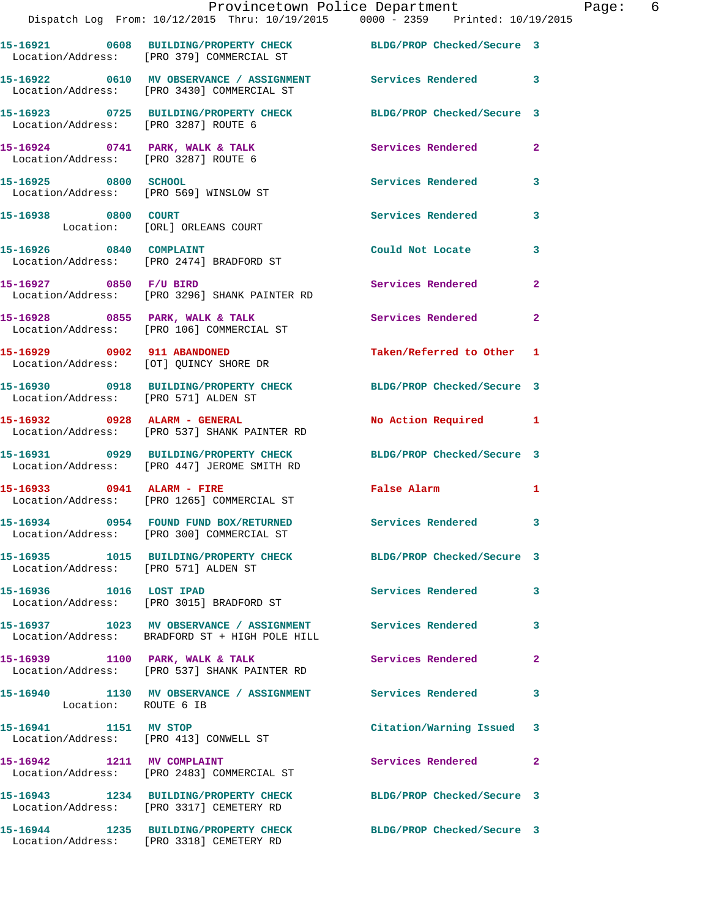|                                                                | Provincetown Police Department<br>Dispatch Log From: 10/12/2015 Thru: 10/19/2015 0000 - 2359 Printed: 10/19/2015 |                            |                         |
|----------------------------------------------------------------|------------------------------------------------------------------------------------------------------------------|----------------------------|-------------------------|
|                                                                | 15-16921 0608 BUILDING/PROPERTY CHECK BLDG/PROP Checked/Secure 3<br>Location/Address: [PRO 379] COMMERCIAL ST    |                            |                         |
|                                                                | 15-16922 0610 MV OBSERVANCE / ASSIGNMENT Services Rendered<br>Location/Address: [PRO 3430] COMMERCIAL ST         |                            | 3                       |
| Location/Address: [PRO 3287] ROUTE 6                           | 15-16923 0725 BUILDING/PROPERTY CHECK                                                                            | BLDG/PROP Checked/Secure 3 |                         |
| Location/Address: [PRO 3287] ROUTE 6                           | 15-16924 0741 PARK, WALK & TALK 3 Services Rendered                                                              |                            | 2                       |
| 15-16925 0800 SCHOOL<br>Location/Address: [PRO 569] WINSLOW ST |                                                                                                                  | Services Rendered          | 3                       |
| 15-16938 0800 COURT                                            | Location: [ORL] ORLEANS COURT                                                                                    | <b>Services Rendered</b>   | 3                       |
| 15-16926 0840 COMPLAINT                                        | Location/Address: [PRO 2474] BRADFORD ST                                                                         | Could Not Locate           | 3                       |
|                                                                | 15-16927 0850 F/U BIRD<br>Location/Address: [PRO 3296] SHANK PAINTER RD                                          | Services Rendered          | $\mathbf{2}$            |
|                                                                | 15-16928 0855 PARK, WALK & TALK<br>Location/Address: [PRO 106] COMMERCIAL ST                                     | Services Rendered          | $\overline{\mathbf{2}}$ |
|                                                                |                                                                                                                  | Taken/Referred to Other    | -1                      |
| Location/Address: [PRO 571] ALDEN ST                           | 15-16930 0918 BUILDING/PROPERTY CHECK BLDG/PROP Checked/Secure 3                                                 |                            |                         |
|                                                                | 15-16932 0928 ALARM - GENERAL<br>Location/Address: [PRO 537] SHANK PAINTER RD                                    | <b>No Action Required</b>  | -1                      |
|                                                                | 15-16931 0929 BUILDING/PROPERTY CHECK BLDG/PROP Checked/Secure 3<br>Location/Address: [PRO 447] JEROME SMITH RD  |                            |                         |
|                                                                | 15-16933 0941 ALARM - FIRE<br>Location/Address: [PRO 1265] COMMERCIAL ST                                         | <b>False Alarm</b>         | 1                       |
|                                                                | 15-16934 0954 FOUND FUND BOX/RETURNED<br>Location/Address: [PRO 300] COMMERCIAL ST                               | <b>Services Rendered</b>   | 3                       |
| Location/Address: [PRO 571] ALDEN ST                           | 15-16935 1015 BUILDING/PROPERTY CHECK                                                                            | BLDG/PROP Checked/Secure 3 |                         |
| 15-16936 1016 LOST IPAD                                        | Location/Address: [PRO 3015] BRADFORD ST                                                                         | <b>Services Rendered</b>   | 3                       |
|                                                                | 15-16937 1023 MV OBSERVANCE / ASSIGNMENT Services Rendered<br>Location/Address: BRADFORD ST + HIGH POLE HILL     |                            | 3                       |
| 15-16939 1100 PARK, WALK & TALK                                | Location/Address: [PRO 537] SHANK PAINTER RD                                                                     | Services Rendered          | 2                       |
| Location: ROUTE 6 IB                                           | 15-16940 1130 MV OBSERVANCE / ASSIGNMENT Services Rendered                                                       |                            | 3                       |
| 15-16941 1151 MV STOP                                          | Location/Address: [PRO 413] CONWELL ST                                                                           | Citation/Warning Issued    | 3                       |
| 15-16942 1211 MV COMPLAINT                                     | Location/Address: [PRO 2483] COMMERCIAL ST                                                                       | Services Rendered          | 2                       |
|                                                                |                                                                                                                  |                            |                         |

**15-16943 1234 BUILDING/PROPERTY CHECK BLDG/PROP Checked/Secure 3**  Location/Address: [PRO 3317] CEMETERY RD

Location/Address: [PRO 3318] CEMETERY RD

**15-16944 1235 BUILDING/PROPERTY CHECK BLDG/PROP Checked/Secure 3** 

Page: 6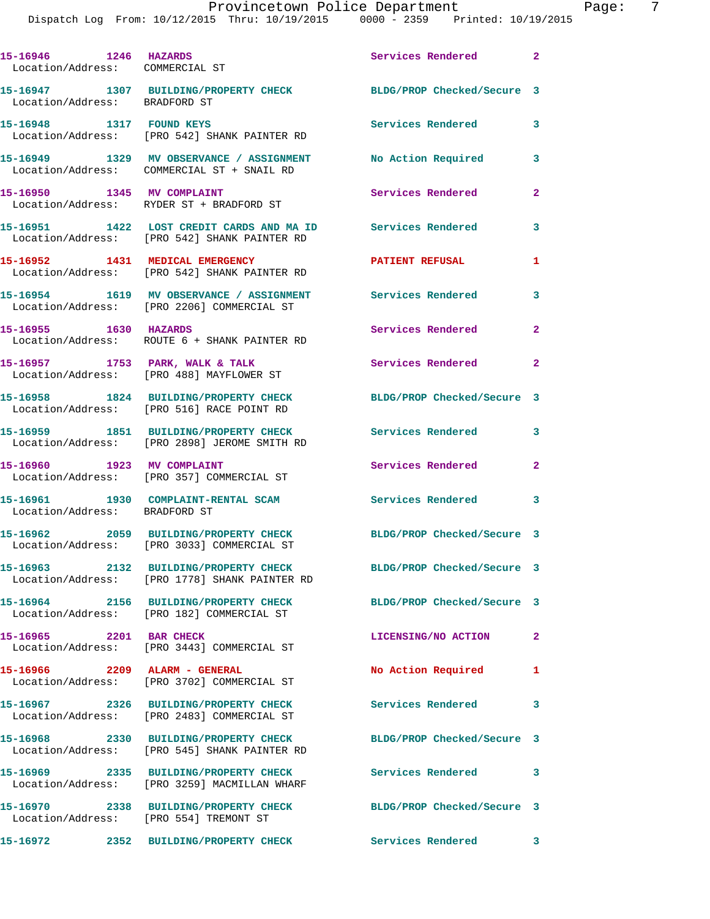Dispatch Log From: 10/12/2015 Thru: 10/19/2015 0000 - 2359 Printed: 10/19/2015 **15-16946 1246 HAZARDS Services Rendered 2**  Location/Address: COMMERCIAL ST

Location/Address: BRADFORD ST

Location/Address: ROUTE 6 + SHANK PAINTER RD

Location/Address: [PRO 488] MAYFLOWER ST

Location/Address: BRADFORD ST

**15-16948 1317 FOUND KEYS Services Rendered 3**  Location/Address: [PRO 542] SHANK PAINTER RD Location/Address: COMMERCIAL ST + SNAIL RD Location/Address: RYDER ST + BRADFORD ST

Location/Address: [PRO 542] SHANK PAINTER RD

Location/Address: [PRO 542] SHANK PAINTER RD

Location/Address: [PRO 2206] COMMERCIAL ST

**15-16958 1824 BUILDING/PROPERTY CHECK BLDG/PROP Checked/Secure 3** 

**15-16959 1851 BUILDING/PROPERTY CHECK Services Rendered 3**  Location/Address: [PRO 2898] JEROME SMITH RD

**15-16962 2059 BUILDING/PROPERTY CHECK BLDG/PROP Checked/Secure 3** 

**15-16963 2132 BUILDING/PROPERTY CHECK BLDG/PROP Checked/Secure 3** 

**15-16964 2156 BUILDING/PROPERTY CHECK BLDG/PROP Checked/Secure 3** 

**15-16965 2201 BAR CHECK LICENSING/NO ACTION 2** 

**15-16966 2209 ALARM - GENERAL No Action Required 1** 

**15-16967 2326 BUILDING/PROPERTY CHECK Services Rendered 3** 

Location/Address: [PRO 545] SHANK PAINTER RD

**15-16969 2335 BUILDING/PROPERTY CHECK Services Rendered 3**  Location/Address: [PRO 3259] MACMILLAN WHARF

Location/Address: [PRO 554] TREMONT ST

**15-16947 1307 BUILDING/PROPERTY CHECK BLDG/PROP Checked/Secure 3** 

**15-16949 1329 MV OBSERVANCE / ASSIGNMENT No Action Required 3** 

**15-16950 1345 MV COMPLAINT Services Rendered 2** 

**15-16951 1422 LOST CREDIT CARDS AND MA ID Services Rendered 3** 

**15-16952 1431 MEDICAL EMERGENCY PATIENT REFUSAL 1** 

**15-16954 1619 MV OBSERVANCE / ASSIGNMENT Services Rendered 3** 

**15-16955 1630 HAZARDS Services Rendered 2** 

15-16957 **1753 PARK, WALK & TALK Services Rendered** 2

Location/Address: [PRO 516] RACE POINT RD

Location/Address: [PRO 357] COMMERCIAL ST

Location/Address: [PRO 182] COMMERCIAL ST

Location/Address: [PRO 3443] COMMERCIAL ST

Location/Address: [PRO 2483] COMMERCIAL ST

**15-16972 2352 BUILDING/PROPERTY CHECK Services Rendered 3** 

Location/Address: [PRO 3033] COMMERCIAL ST

Location/Address: [PRO 1778] SHANK PAINTER RD

Location/Address: [PRO 3702] COMMERCIAL ST

**15-16968 2330 BUILDING/PROPERTY CHECK BLDG/PROP Checked/Secure 3** 

**15-16970 2338 BUILDING/PROPERTY CHECK BLDG/PROP Checked/Secure 3** 

15-16960 1923 MV COMPLAINT **1928 Services Rendered** 2

**15-16961 1930 COMPLAINT-RENTAL SCAM Services Rendered 3**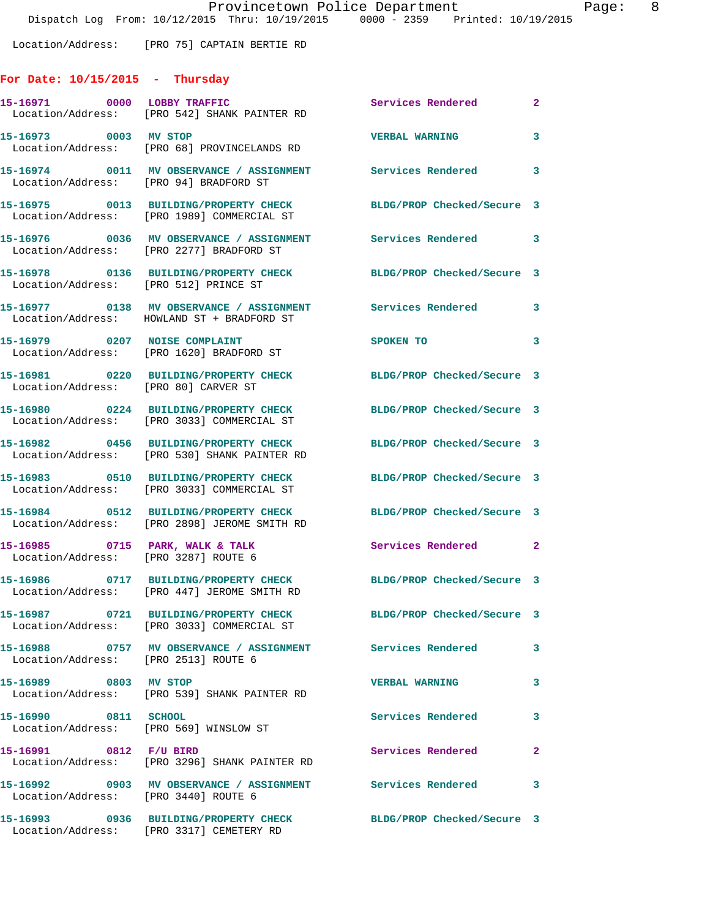Location/Address: [PRO 75] CAPTAIN BERTIE RD

## **For Date: 10/15/2015 - Thursday**

|                        | 15-16971 0000 LOBBY TRAFFIC<br>Location/Address: [PRO 542] SHANK PAINTER RD                                     | Services Rendered          | $\mathbf{2}$            |
|------------------------|-----------------------------------------------------------------------------------------------------------------|----------------------------|-------------------------|
| 15-16973 0003 MV STOP  | Location/Address: [PRO 68] PROVINCELANDS RD                                                                     | <b>VERBAL WARNING</b>      | 3                       |
|                        | 15-16974 0011 MV OBSERVANCE / ASSIGNMENT Services Rendered<br>Location/Address: [PRO 94] BRADFORD ST            |                            | $\overline{\mathbf{3}}$ |
|                        | 15-16975 0013 BUILDING/PROPERTY CHECK<br>Location/Address: [PRO 1989] COMMERCIAL ST                             | BLDG/PROP Checked/Secure 3 |                         |
|                        | 15-16976 0036 MV OBSERVANCE / ASSIGNMENT Services Rendered<br>Location/Address: [PRO 2277] BRADFORD ST          |                            | $\overline{\mathbf{3}}$ |
|                        | 15-16978 0136 BUILDING/PROPERTY CHECK<br>Location/Address: [PRO 512] PRINCE ST                                  | BLDG/PROP Checked/Secure 3 |                         |
|                        | 15-16977 0138 MV OBSERVANCE / ASSIGNMENT Services Rendered<br>Location/Address: HOWLAND ST + BRADFORD ST        |                            | $\overline{\mathbf{3}}$ |
|                        | 15-16979 0207 NOISE COMPLAINT<br>Location/Address: [PRO 1620] BRADFORD ST                                       | SPOKEN TO                  | $\overline{\mathbf{3}}$ |
|                        | 15-16981 0220 BUILDING/PROPERTY CHECK<br>Location/Address: [PRO 80] CARVER ST                                   | BLDG/PROP Checked/Secure 3 |                         |
|                        | 15-16980 0224 BUILDING/PROPERTY CHECK<br>Location/Address: [PRO 3033] COMMERCIAL ST                             | BLDG/PROP Checked/Secure 3 |                         |
|                        | 15-16982 0456 BUILDING/PROPERTY CHECK<br>Location/Address: [PRO 530] SHANK PAINTER RD                           | BLDG/PROP Checked/Secure 3 |                         |
|                        | 15-16983 0510 BUILDING/PROPERTY CHECK<br>Location/Address: [PRO 3033] COMMERCIAL ST                             | BLDG/PROP Checked/Secure 3 |                         |
|                        | 15-16984 0512 BUILDING/PROPERTY CHECK<br>Location/Address: [PRO 2898] JEROME SMITH RD                           | BLDG/PROP Checked/Secure 3 |                         |
|                        | 15-16985 0715 PARK, WALK & TALK<br>Location/Address: [PRO 3287] ROUTE 6                                         | <b>Services Rendered</b>   | $\mathbf{2}$            |
|                        | 15-16986 0717 BUILDING/PROPERTY CHECK BLDG/PROP Checked/Secure 3<br>Location/Address: [PRO 447] JEROME SMITH RD |                            |                         |
|                        | Location/Address: [PRO 3033] COMMERCIAL ST                                                                      | BLDG/PROP Checked/Secure 3 |                         |
|                        | 15-16988 0757 MV OBSERVANCE / ASSIGNMENT Services Rendered<br>Location/Address: [PRO 2513] ROUTE 6              |                            | 3                       |
| 15-16989 0803 MV STOP  | Location/Address: [PRO 539] SHANK PAINTER RD                                                                    | <b>VERBAL WARNING</b>      | 3                       |
| 15-16990 0811 SCHOOL   | Location/Address: [PRO 569] WINSLOW ST                                                                          | Services Rendered          | 3                       |
| 15-16991 0812 F/U BIRD | Location/Address: [PRO 3296] SHANK PAINTER RD                                                                   | <b>Services Rendered</b>   | $\mathbf{2}$            |
|                        | 15-16992 0903 MV OBSERVANCE / ASSIGNMENT Services Rendered<br>Location/Address: [PRO 3440] ROUTE 6              |                            | 3                       |
|                        | 15-16993 0936 BUILDING/PROPERTY CHECK<br>Location/Address: [PRO 3317] CEMETERY RD                               | BLDG/PROP Checked/Secure 3 |                         |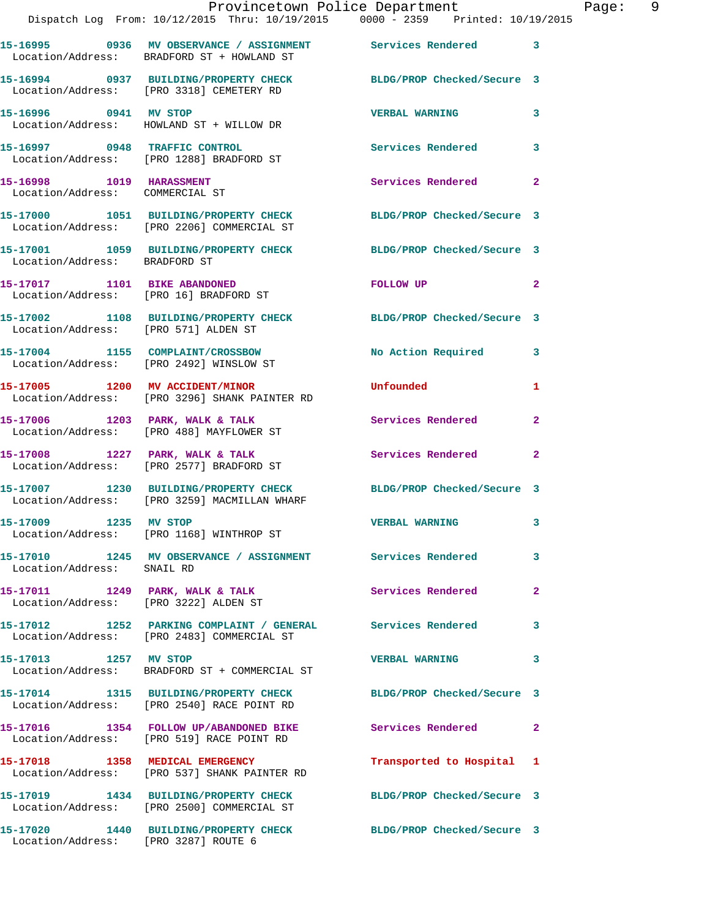|                                                                          | Provincetown Police Department<br>Dispatch Log From: 10/12/2015 Thru: 10/19/2015 0000 - 2359 Printed: 10/19/2015 |                            |                |
|--------------------------------------------------------------------------|------------------------------------------------------------------------------------------------------------------|----------------------------|----------------|
|                                                                          | 15-16995 0936 MV OBSERVANCE / ASSIGNMENT Services Rendered<br>Location/Address: BRADFORD ST + HOWLAND ST         |                            | 3              |
|                                                                          | 15-16994 0937 BUILDING/PROPERTY CHECK BLDG/PROP Checked/Secure 3<br>Location/Address: [PRO 3318] CEMETERY RD     |                            |                |
|                                                                          | 15-16996 0941 MV STOP<br>Location/Address: HOWLAND ST + WILLOW DR                                                | <b>VERBAL WARNING</b>      | 3              |
|                                                                          | 15-16997 0948 TRAFFIC CONTROL<br>Location/Address: [PRO 1288] BRADFORD ST                                        | Services Rendered          | 3              |
| 15-16998 1019 HARASSMENT<br>Location/Address: COMMERCIAL ST              |                                                                                                                  | Services Rendered          | $\mathbf{2}$   |
|                                                                          | 15-17000 1051 BUILDING/PROPERTY CHECK BLDG/PROP Checked/Secure 3<br>Location/Address: [PRO 2206] COMMERCIAL ST   |                            |                |
|                                                                          | 15-17001 1059 BUILDING/PROPERTY CHECK BLDG/PROP Checked/Secure 3<br>Location/Address: BRADFORD ST                |                            |                |
| 15-17017 1101 BIKE ABANDONED                                             | Location/Address: [PRO 16] BRADFORD ST                                                                           | FOLLOW UP                  | $\mathbf{2}$   |
| Location/Address: [PRO 571] ALDEN ST                                     | 15-17002 1108 BUILDING/PROPERTY CHECK                                                                            | BLDG/PROP Checked/Secure 3 |                |
|                                                                          | 15-17004 1155 COMPLAINT/CROSSBOW<br>Location/Address: [PRO 2492] WINSLOW ST                                      | No Action Required         | 3              |
|                                                                          | 15-17005 1200 MV ACCIDENT/MINOR<br>Location/Address: [PRO 3296] SHANK PAINTER RD                                 | Unfounded                  | 1              |
|                                                                          | 15-17006 1203 PARK, WALK & TALK<br>Location/Address: [PRO 488] MAYFLOWER ST                                      | Services Rendered          | $\mathbf{2}$   |
|                                                                          | 15-17008 1227 PARK, WALK & TALK<br>Location/Address: [PRO 2577] BRADFORD ST                                      | Services Rendered          | $\overline{2}$ |
|                                                                          | 15-17007 1230 BUILDING/PROPERTY CHECK BLDG/PROP Checked/Secure 3<br>Location/Address: [PRO 3259] MACMILLAN WHARF |                            |                |
| 15-17009 1235 MV STOP                                                    | Location/Address: [PRO 1168] WINTHROP ST                                                                         | <b>VERBAL WARNING</b>      | 3              |
| Location/Address: SNAIL RD                                               | 15-17010 1245 MV OBSERVANCE / ASSIGNMENT Services Rendered                                                       |                            | 3              |
| 15-17011 1249 PARK, WALK & TALK<br>Location/Address: [PRO 3222] ALDEN ST |                                                                                                                  | <b>Services Rendered</b>   | $\mathbf{2}$   |
|                                                                          | 15-17012 1252 PARKING COMPLAINT / GENERAL Services Rendered<br>Location/Address: [PRO 2483] COMMERCIAL ST        |                            | 3              |
| 15-17013 1257 MV STOP                                                    | Location/Address: BRADFORD ST + COMMERCIAL ST                                                                    | <b>VERBAL WARNING</b>      | 3              |
|                                                                          | 15-17014 1315 BUILDING/PROPERTY CHECK<br>Location/Address: [PRO 2540] RACE POINT RD                              | BLDG/PROP Checked/Secure 3 |                |
|                                                                          | 15-17016 1354 FOLLOW UP/ABANDONED BIKE<br>Location/Address: [PRO 519] RACE POINT RD                              | <b>Services Rendered</b>   | $\overline{2}$ |
|                                                                          | 15-17018 1358 MEDICAL EMERGENCY<br>Location/Address: [PRO 537] SHANK PAINTER RD                                  | Transported to Hospital    | 1              |
|                                                                          | 15-17019 1434 BUILDING/PROPERTY CHECK<br>Location/Address: [PRO 2500] COMMERCIAL ST                              | BLDG/PROP Checked/Secure 3 |                |
| 15-17020                                                                 | 1440 BUILDING/PROPERTY CHECK                                                                                     | BLDG/PROP Checked/Secure 3 |                |

Location/Address: [PRO 3287] ROUTE 6

Page: 9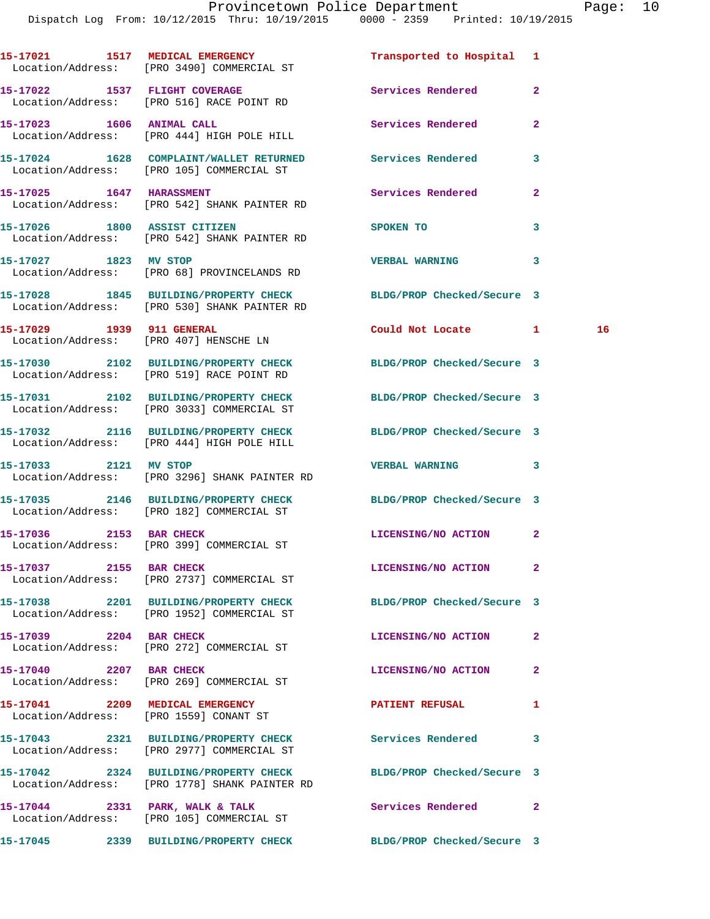Dispatch Log From: 10/12/2015 Thru: 10/19/2015 0000 - 2359 Printed: 10/19/2015

|                         | 15-17021 1517 MEDICAL EMERGENCY<br>Location/Address: [PRO 3490] COMMERCIAL ST                                     | Transported to Hospital 1  |                |    |
|-------------------------|-------------------------------------------------------------------------------------------------------------------|----------------------------|----------------|----|
|                         | 15-17022 1537 FLIGHT COVERAGE<br>Location/Address: [PRO 516] RACE POINT RD                                        | <b>Services Rendered</b>   | $\mathbf{2}$   |    |
|                         | 15-17023 1606 ANIMAL CALL<br>Location/Address: [PRO 444] HIGH POLE HILL                                           | Services Rendered          | $\mathbf{2}$   |    |
|                         | 15-17024 1628 COMPLAINT/WALLET RETURNED Services Rendered<br>Location/Address: [PRO 105] COMMERCIAL ST            |                            | 3              |    |
|                         | 15-17025 1647 HARASSMENT<br>Location/Address: [PRO 542] SHANK PAINTER RD                                          | Services Rendered          | $\mathbf{2}$   |    |
|                         | 15-17026 1800 ASSIST CITIZEN<br>Location/Address: [PRO 542] SHANK PAINTER RD                                      | <b>SPOKEN TO</b>           | 3              |    |
| 15-17027 1823 MV STOP   | Location/Address: [PRO 68] PROVINCELANDS RD                                                                       | <b>VERBAL WARNING</b>      | 3              |    |
|                         | 15-17028 1845 BUILDING/PROPERTY CHECK<br>Location/Address: [PRO 530] SHANK PAINTER RD                             | BLDG/PROP Checked/Secure 3 |                |    |
|                         | 15-17029 1939 911 GENERAL<br>Location/Address: [PRO 407] HENSCHE LN                                               | Could Not Locate 1         |                | 16 |
|                         | 15-17030 2102 BUILDING/PROPERTY CHECK<br>Location/Address: [PRO 519] RACE POINT RD                                | BLDG/PROP Checked/Secure 3 |                |    |
|                         | 15-17031 2102 BUILDING/PROPERTY CHECK BLDG/PROP Checked/Secure 3<br>Location/Address: [PRO 3033] COMMERCIAL ST    |                            |                |    |
|                         | 15-17032 2116 BUILDING/PROPERTY CHECK BLDG/PROP Checked/Secure 3<br>Location/Address: [PRO 444] HIGH POLE HILL    |                            |                |    |
| 15-17033 2121 MV STOP   | Location/Address: [PRO 3296] SHANK PAINTER RD                                                                     | <b>VERBAL WARNING</b>      | 3              |    |
|                         | 15-17035 2146 BUILDING/PROPERTY CHECK BLDG/PROP Checked/Secure 3<br>Location/Address: [PRO 182] COMMERCIAL ST     |                            |                |    |
|                         | 15-17036 2153 BAR CHECK<br>Location/Address: [PRO 399] COMMERCIAL ST                                              | LICENSING/NO ACTION 2      |                |    |
| 15-17037 2155 BAR CHECK | Location/Address: [PRO 2737] COMMERCIAL ST                                                                        | LICENSING/NO ACTION        | 2              |    |
|                         | 15-17038 2201 BUILDING/PROPERTY CHECK BLDG/PROP Checked/Secure 3<br>Location/Address: [PRO 1952] COMMERCIAL ST    |                            |                |    |
| 15-17039 2204 BAR CHECK | Location/Address: [PRO 272] COMMERCIAL ST                                                                         | LICENSING/NO ACTION        | 2              |    |
| 15-17040 2207 BAR CHECK | Location/Address: [PRO 269] COMMERCIAL ST                                                                         | LICENSING/NO ACTION        | $\overline{2}$ |    |
|                         | 15-17041 2209 MEDICAL EMERGENCY<br>Location/Address: [PRO 1559] CONANT ST                                         | <b>PATIENT REFUSAL</b>     | 1              |    |
|                         | 15-17043 2321 BUILDING/PROPERTY CHECK Services Rendered<br>Location/Address: [PRO 2977] COMMERCIAL ST             |                            | 3              |    |
|                         | 15-17042 2324 BUILDING/PROPERTY CHECK BLDG/PROP Checked/Secure 3<br>Location/Address: [PRO 1778] SHANK PAINTER RD |                            |                |    |
|                         | 15-17044 2331 PARK, WALK & TALK<br>Location/Address: [PRO 105] COMMERCIAL ST                                      | Services Rendered          | $\mathbf{2}$   |    |
|                         | 15-17045 2339 BUILDING/PROPERTY CHECK                                                                             | BLDG/PROP Checked/Secure 3 |                |    |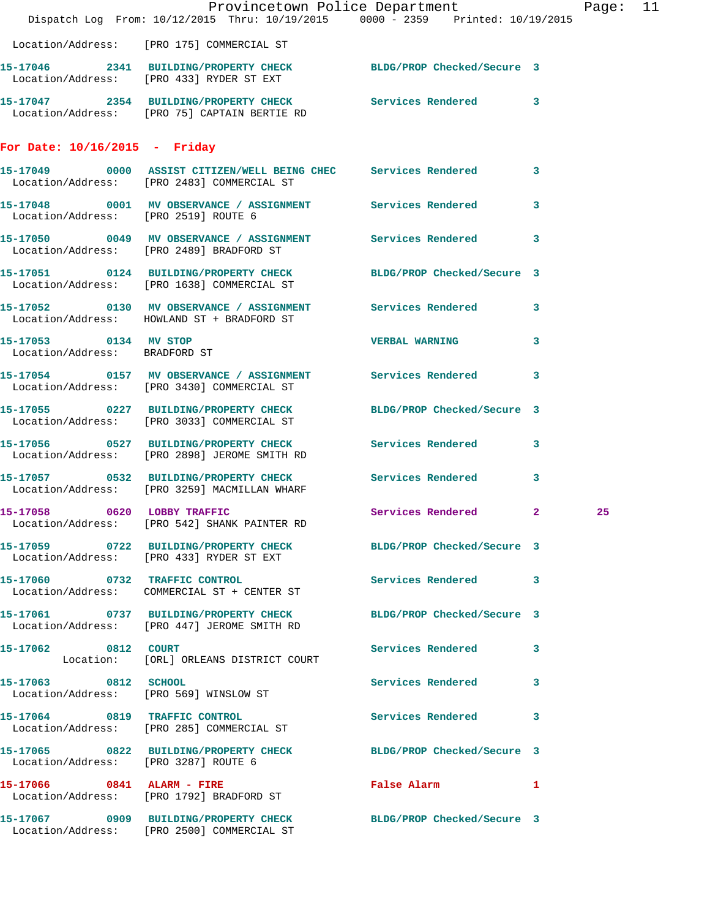|                                                        | Dispatch Log From: 10/12/2015 Thru: 10/19/2015 0000 - 2359 Printed: 10/19/2015                                  | Provincetown Police Department        | Page: 11 |
|--------------------------------------------------------|-----------------------------------------------------------------------------------------------------------------|---------------------------------------|----------|
|                                                        | Location/Address: [PRO 175] COMMERCIAL ST                                                                       |                                       |          |
|                                                        | 15-17046 2341 BUILDING/PROPERTY CHECK BLDG/PROP Checked/Secure 3<br>Location/Address: [PRO 433] RYDER ST EXT    |                                       |          |
|                                                        | 15-17047 2354 BUILDING/PROPERTY CHECK Services Rendered 3<br>Location/Address: [PRO 75] CAPTAIN BERTIE RD       |                                       |          |
| For Date: $10/16/2015$ - Friday                        |                                                                                                                 |                                       |          |
|                                                        | 15-17049 0000 ASSIST CITIZEN/WELL BEING CHEC Services Rendered 3<br>Location/Address: [PRO 2483] COMMERCIAL ST  |                                       |          |
| Location/Address: [PRO 2519] ROUTE 6                   | 15-17048 0001 MV OBSERVANCE / ASSIGNMENT Services Rendered 3                                                    |                                       |          |
|                                                        | 15-17050 0049 MV OBSERVANCE / ASSIGNMENT Services Rendered 3<br>Location/Address: [PRO 2489] BRADFORD ST        |                                       |          |
|                                                        | 15-17051 0124 BUILDING/PROPERTY CHECK BLDG/PROP Checked/Secure 3<br>Location/Address: [PRO 1638] COMMERCIAL ST  |                                       |          |
|                                                        | 15-17052 0130 MV OBSERVANCE / ASSIGNMENT Services Rendered 3<br>Location/Address: HOWLAND ST + BRADFORD ST      |                                       |          |
| 15-17053 0134 MV STOP<br>Location/Address: BRADFORD ST |                                                                                                                 | <b>VERBAL WARNING</b><br>$\mathbf{3}$ |          |
|                                                        | 15-17054 0157 MV OBSERVANCE / ASSIGNMENT Services Rendered 3<br>Location/Address: [PRO 3430] COMMERCIAL ST      |                                       |          |
|                                                        | 15-17055 0227 BUILDING/PROPERTY CHECK BLDG/PROP Checked/Secure 3<br>Location/Address: [PRO 3033] COMMERCIAL ST  |                                       |          |
|                                                        | 15-17056 0527 BUILDING/PROPERTY CHECK Services Rendered 3<br>Location/Address: [PRO 2898] JEROME SMITH RD       |                                       |          |
|                                                        | 15-17057 0532 BUILDING/PROPERTY CHECK Services Rendered<br>Location/Address: [PRO 3259] MACMILLAN WHARF         | $\mathbf{3}$                          |          |
|                                                        | 15-17058 0620 LOBBY TRAFFIC<br>Location/Address: [PRO 542] SHANK PAINTER RD                                     | Services Rendered 2                   | 25       |
|                                                        | 15-17059 0722 BUILDING/PROPERTY CHECK BLDG/PROP Checked/Secure 3<br>Location/Address: [PRO 433] RYDER ST EXT    |                                       |          |
|                                                        | 15-17060 0732 TRAFFIC CONTROL<br>Location/Address: COMMERCIAL ST + CENTER ST                                    | Services Rendered 3                   |          |
|                                                        | 15-17061 0737 BUILDING/PROPERTY CHECK BLDG/PROP Checked/Secure 3<br>Location/Address: [PRO 447] JEROME SMITH RD |                                       |          |
| 15-17062 0812 COURT                                    | Location: [ORL] ORLEANS DISTRICT COURT                                                                          | Services Rendered 3                   |          |
| 15-17063 0812 SCHOOL                                   | Location/Address: [PRO 569] WINSLOW ST                                                                          | Services Rendered 3                   |          |
|                                                        | 15-17064 0819 TRAFFIC CONTROL<br>Location/Address: [PRO 285] COMMERCIAL ST                                      | Services Rendered 3                   |          |
| Location/Address: [PRO 3287] ROUTE 6                   | 15-17065 0822 BUILDING/PROPERTY CHECK BLDG/PROP Checked/Secure 3                                                |                                       |          |
|                                                        | 15-17066 0841 ALARM - FIRE<br>Location/Address: [PRO 1792] BRADFORD ST                                          | False Alarm 1                         |          |
|                                                        | 15-17067 0909 BUILDING/PROPERTY CHECK BLDG/PROP Checked/Secure 3<br>Location/Address: [PRO 2500] COMMERCIAL ST  |                                       |          |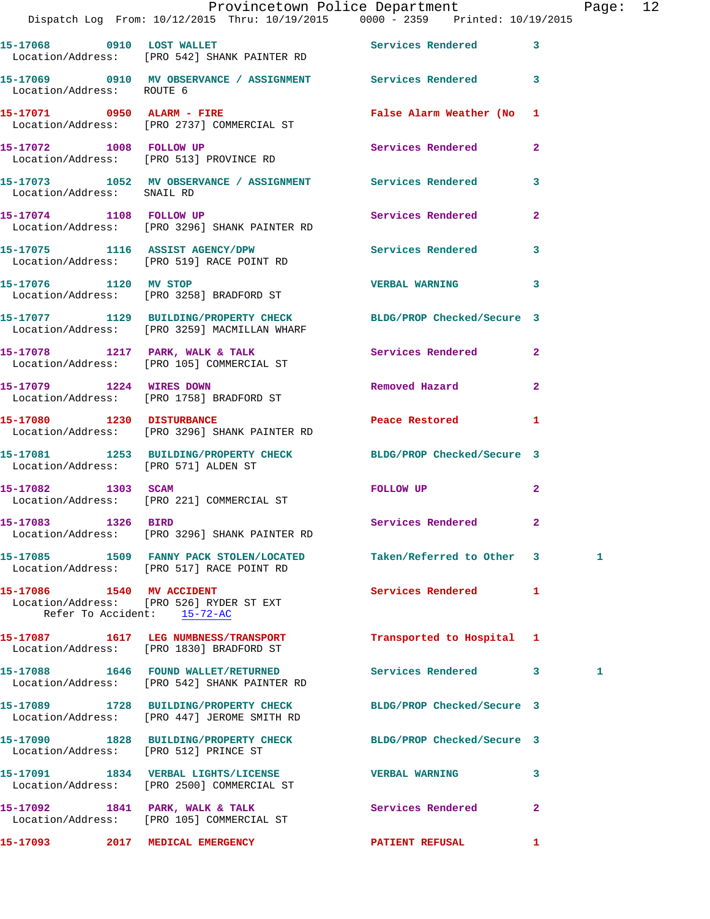|                           | Dispatch Log From: 10/12/2015 Thru: 10/19/2015 0000 - 2359 Printed: 10/19/2015                                   | Provincetown Police Department The Page: 12 |                |
|---------------------------|------------------------------------------------------------------------------------------------------------------|---------------------------------------------|----------------|
|                           | 15-17068 0910 LOST WALLET Services Rendered<br>Location/Address: [PRO 542] SHANK PAINTER RD                      |                                             | $\mathbf{3}$   |
| Location/Address: ROUTE 6 | 15-17069 0910 MV OBSERVANCE / ASSIGNMENT Services Rendered 3                                                     |                                             |                |
|                           | 15-17071 0950 ALARM - FIRE<br>Location/Address: [PRO 2737] COMMERCIAL ST                                         | False Alarm Weather (No 1                   |                |
|                           | 15-17072 1008 FOLLOW UP<br>Location/Address: [PRO 513] PROVINCE RD                                               | Services Rendered                           | $\mathbf{2}$   |
|                           | 15-17073 1052 MV OBSERVANCE / ASSIGNMENT Services Rendered<br>Location/Address: SNAIL RD                         |                                             | 3              |
|                           | 15-17074 1108 FOLLOW UP<br>Location/Address: [PRO 3296] SHANK PAINTER RD                                         | Services Rendered                           | $\mathbf{2}$   |
|                           | 15-17075 1116 ASSIST AGENCY/DPW<br>Location/Address: [PRO 519] RACE POINT RD                                     | Services Rendered 3                         |                |
|                           | 15-17076 1120 MV STOP<br>Location/Address: [PRO 3258] BRADFORD ST                                                | <b>VERBAL WARNING</b>                       | 3              |
|                           | 15-17077 1129 BUILDING/PROPERTY CHECK BLDG/PROP Checked/Secure 3<br>Location/Address: [PRO 3259] MACMILLAN WHARF |                                             |                |
|                           | 15-17078 1217 PARK, WALK & TALK 1997 Services Rendered 2<br>Location/Address: [PRO 105] COMMERCIAL ST            |                                             |                |
| 15-17079 1224 WIRES DOWN  | Location/Address: [PRO 1758] BRADFORD ST                                                                         | Removed Hazard                              | $\overline{2}$ |
|                           | 15-17080 1230 DISTURBANCE<br>Location/Address: [PRO 3296] SHANK PAINTER RD                                       | Peace Restored and the sea                  | 1              |
|                           | 15-17081 1253 BUILDING/PROPERTY CHECK BLDG/PROP Checked/Secure 3<br>Location/Address: [PRO 571] ALDEN ST         |                                             |                |
|                           | 15-17082 1303 SCAM<br>Location/Address: [PRO 221] COMMERCIAL ST                                                  | FOLLOW UP                                   | 2              |
| 15-17083 1326 BIRD        | Location/Address: [PRO 3296] SHANK PAINTER RD                                                                    | Services Rendered                           |                |
|                           | 15-17085 1509 FANNY PACK STOLEN/LOCATED Taken/Referred to Other 3<br>Location/Address: [PRO 517] RACE POINT RD   |                                             | $\mathbf{1}$   |
| 15-17086 1540 MV ACCIDENT | Location/Address: [PRO 526] RYDER ST EXT<br>Refer To Accident: 15-72-AC                                          | Services Rendered 1                         |                |
|                           | 15-17087 1617 LEG NUMBNESS/TRANSPORT<br>Location/Address: [PRO 1830] BRADFORD ST                                 | Transported to Hospital 1                   |                |
|                           | 15-17088 1646 FOUND WALLET/RETURNED<br>Location/Address: [PRO 542] SHANK PAINTER RD                              | Services Rendered 3                         | 1              |
|                           | 15-17089 1728 BUILDING/PROPERTY CHECK<br>Location/Address: [PRO 447] JEROME SMITH RD                             | BLDG/PROP Checked/Secure 3                  |                |
|                           | 15-17090 1828 BUILDING/PROPERTY CHECK BLDG/PROP Checked/Secure 3<br>Location/Address: [PRO 512] PRINCE ST        |                                             |                |
|                           | 15-17091 1834 VERBAL LIGHTS/LICENSE<br>Location/Address: [PRO 2500] COMMERCIAL ST                                | <b>VERBAL WARNING</b>                       | 3              |
|                           | 15-17092 1841 PARK, WALK & TALK<br>Location/Address: [PRO 105] COMMERCIAL ST                                     | <b>Services Rendered</b>                    | $\overline{2}$ |
|                           | 15-17093 2017 MEDICAL EMERGENCY                                                                                  | <b>PATIENT REFUSAL</b>                      | $\mathbf{1}$   |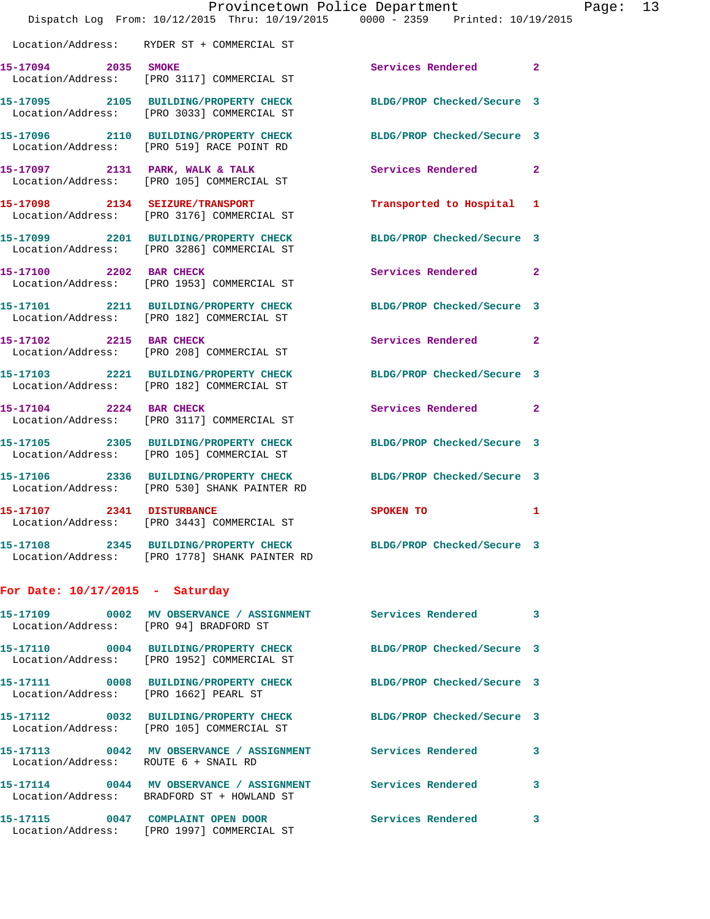|                                        | Dispatch Log From: 10/12/2015 Thru: 10/19/2015 0000 - 2359 Printed: 10/19/2015                                    | Provincetown Police Department |              | Page: 13 |  |
|----------------------------------------|-------------------------------------------------------------------------------------------------------------------|--------------------------------|--------------|----------|--|
|                                        | Location/Address: RYDER ST + COMMERCIAL ST                                                                        |                                |              |          |  |
| 15-17094 2035 SMOKE                    | Location/Address: [PRO 3117] COMMERCIAL ST                                                                        | Services Rendered 2            |              |          |  |
|                                        | 15-17095 2105 BUILDING/PROPERTY CHECK BLDG/PROP Checked/Secure 3<br>Location/Address: [PRO 3033] COMMERCIAL ST    |                                |              |          |  |
|                                        | 15-17096 2110 BUILDING/PROPERTY CHECK<br>Location/Address: [PRO 519] RACE POINT RD                                | BLDG/PROP Checked/Secure 3     |              |          |  |
|                                        | 15-17097 2131 PARK, WALK & TALK<br>Location/Address: [PRO 105] COMMERCIAL ST                                      | Services Rendered              | $\mathbf{2}$ |          |  |
|                                        | 15-17098 2134 SEIZURE/TRANSPORT<br>Location/Address: [PRO 3176] COMMERCIAL ST                                     | Transported to Hospital 1      |              |          |  |
|                                        | 15-17099 2201 BUILDING/PROPERTY CHECK BLDG/PROP Checked/Secure 3<br>Location/Address: [PRO 3286] COMMERCIAL ST    |                                |              |          |  |
|                                        | 15-17100 2202 BAR CHECK<br>Location/Address: [PRO 1953] COMMERCIAL ST                                             | Services Rendered 2            |              |          |  |
|                                        | 15-17101 2211 BUILDING/PROPERTY CHECK<br>Location/Address: [PRO 182] COMMERCIAL ST                                | BLDG/PROP Checked/Secure 3     |              |          |  |
| 15-17102 2215 BAR CHECK                | Location/Address: [PRO 208] COMMERCIAL ST                                                                         | Services Rendered 2            |              |          |  |
|                                        | 15-17103 2221 BUILDING/PROPERTY CHECK<br>Location/Address: [PRO 182] COMMERCIAL ST                                | BLDG/PROP Checked/Secure 3     |              |          |  |
| 15-17104 2224 BAR CHECK                | Location/Address: [PRO 3117] COMMERCIAL ST                                                                        | Services Rendered 2            |              |          |  |
|                                        | 15-17105 2305 BUILDING/PROPERTY CHECK BLDG/PROP Checked/Secure 3<br>Location/Address: [PRO 105] COMMERCIAL ST     |                                |              |          |  |
|                                        | 15-17106 2336 BUILDING/PROPERTY CHECK BLDG/PROP Checked/Secure 3<br>Location/Address: [PRO 530] SHANK PAINTER RD  |                                |              |          |  |
| 15-17107 2341 DISTURBANCE              | Location/Address: [PRO 3443] COMMERCIAL ST                                                                        | SPOKEN TO                      | 1            |          |  |
|                                        | 15-17108 2345 BUILDING/PROPERTY CHECK BLDG/PROP Checked/Secure 3<br>Location/Address: [PRO 1778] SHANK PAINTER RD |                                |              |          |  |
| For Date: $10/17/2015$ - Saturday      |                                                                                                                   |                                |              |          |  |
| Location/Address: [PRO 94] BRADFORD ST | 15-17109 0002 MV OBSERVANCE / ASSIGNMENT Services Rendered 3                                                      |                                |              |          |  |
|                                        | 15-17110 0004 BUILDING/PROPERTY CHECK<br>Location/Address: [PRO 1952] COMMERCIAL ST                               | BLDG/PROP Checked/Secure 3     |              |          |  |
| Location/Address: [PRO 1662] PEARL ST  | 15-17111 0008 BUILDING/PROPERTY CHECK BLDG/PROP Checked/Secure 3                                                  |                                |              |          |  |
|                                        | 15-17112 0032 BUILDING/PROPERTY CHECK<br>Location/Address: [PRO 105] COMMERCIAL ST                                | BLDG/PROP Checked/Secure 3     |              |          |  |
| Location/Address: ROUTE 6 + SNAIL RD   | 15-17113 0042 MV OBSERVANCE / ASSIGNMENT Services Rendered                                                        |                                | 3            |          |  |
|                                        | 15-17114 0044 MV OBSERVANCE / ASSIGNMENT Services Rendered<br>Location/Address: BRADFORD ST + HOWLAND ST          |                                | 3            |          |  |
|                                        | 15-17115 0047 COMPLAINT OPEN DOOR<br>Location/Address: [PRO 1997] COMMERCIAL ST                                   | Services Rendered              | 3            |          |  |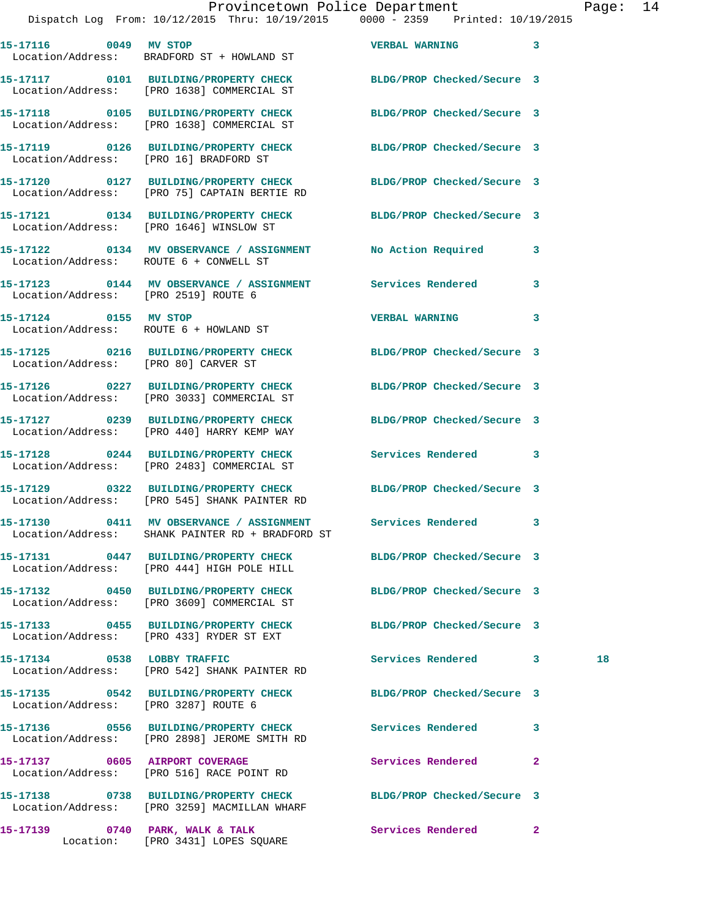Dispatch Log From: 10/12/2015 Thru: 10/19/2015 0000 - 2359 Printed: 10/19/2015

| 15-17116 0049 MV STOP                  | Location/Address: BRADFORD ST + HOWLAND ST                                                                       | <b>VERBAL WARNING</b>      | $\overline{\phantom{a}}$ 3 |    |
|----------------------------------------|------------------------------------------------------------------------------------------------------------------|----------------------------|----------------------------|----|
|                                        | 15-17117 0101 BUILDING/PROPERTY CHECK<br>Location/Address: [PRO 1638] COMMERCIAL ST                              | BLDG/PROP Checked/Secure 3 |                            |    |
|                                        | 15-17118 0105 BUILDING/PROPERTY CHECK<br>Location/Address: [PRO 1638] COMMERCIAL ST                              | BLDG/PROP Checked/Secure 3 |                            |    |
|                                        | 15-17119 0126 BUILDING/PROPERTY CHECK<br>Location/Address: [PRO 16] BRADFORD ST                                  | BLDG/PROP Checked/Secure 3 |                            |    |
|                                        | 15-17120 0127 BUILDING/PROPERTY CHECK<br>Location/Address: [PRO 75] CAPTAIN BERTIE RD                            | BLDG/PROP Checked/Secure 3 |                            |    |
|                                        | 15-17121 0134 BUILDING/PROPERTY CHECK BLDG/PROP Checked/Secure 3<br>Location/Address: [PRO 1646] WINSLOW ST      |                            |                            |    |
| Location/Address: ROUTE 6 + CONWELL ST | 15-17122 0134 MV OBSERVANCE / ASSIGNMENT No Action Required                                                      |                            | 3                          |    |
| Location/Address: [PRO 2519] ROUTE 6   | 15-17123 0144 MV OBSERVANCE / ASSIGNMENT Services Rendered                                                       |                            | 3                          |    |
| 15-17124 0155 MV STOP                  | Location/Address: ROUTE 6 + HOWLAND ST                                                                           | <b>VERBAL WARNING</b>      | 3                          |    |
| Location/Address: [PRO 80] CARVER ST   | 15-17125 0216 BUILDING/PROPERTY CHECK BLDG/PROP Checked/Secure 3                                                 |                            |                            |    |
|                                        | 15-17126 0227 BUILDING/PROPERTY CHECK<br>Location/Address: [PRO 3033] COMMERCIAL ST                              | BLDG/PROP Checked/Secure 3 |                            |    |
|                                        | 15-17127 0239 BUILDING/PROPERTY CHECK<br>Location/Address: [PRO 440] HARRY KEMP WAY                              | BLDG/PROP Checked/Secure 3 |                            |    |
|                                        | 15-17128 0244 BUILDING/PROPERTY CHECK<br>Location/Address: [PRO 2483] COMMERCIAL ST                              | Services Rendered 3        |                            |    |
|                                        | 15-17129 0322 BUILDING/PROPERTY CHECK<br>Location/Address: [PRO 545] SHANK PAINTER RD                            | BLDG/PROP Checked/Secure 3 |                            |    |
|                                        | 15-17130 0411 MV OBSERVANCE / ASSIGNMENT Services Rendered 3<br>Location/Address: SHANK PAINTER RD + BRADFORD ST |                            |                            |    |
|                                        | 15-17131 0447 BUILDING/PROPERTY CHECK BLDG/PROP Checked/Secure 3<br>Location/Address: [PRO 444] HIGH POLE HILL   |                            |                            |    |
|                                        | 15-17132 0450 BUILDING/PROPERTY CHECK<br>Location/Address: [PRO 3609] COMMERCIAL ST                              | BLDG/PROP Checked/Secure 3 |                            |    |
|                                        | 15-17133 0455 BUILDING/PROPERTY CHECK<br>Location/Address: [PRO 433] RYDER ST EXT                                | BLDG/PROP Checked/Secure 3 |                            |    |
|                                        | 15-17134 0538 LOBBY TRAFFIC<br>Location/Address: [PRO 542] SHANK PAINTER RD                                      | Services Rendered 3        |                            | 18 |
| Location/Address: [PRO 3287] ROUTE 6   | 15-17135 0542 BUILDING/PROPERTY CHECK BLDG/PROP Checked/Secure 3                                                 |                            |                            |    |
|                                        | 15-17136  0556  BUILDING/PROPERTY CHECK  Services Rendered<br>Location/Address: [PRO 2898] JEROME SMITH RD       |                            | 3                          |    |
| 15-17137 0605 AIRPORT COVERAGE         | Location/Address: [PRO 516] RACE POINT RD                                                                        | Services Rendered          | $\mathbf{2}$               |    |
|                                        | 15-17138 0738 BUILDING/PROPERTY CHECK BLDG/PROP Checked/Secure 3<br>Location/Address: [PRO 3259] MACMILLAN WHARF |                            |                            |    |
|                                        | 15-17139 0740 PARK, WALK & TALK<br>Location: [PRO 3431] LOPES SQUARE                                             | <b>Services Rendered</b>   | $\mathbf{2}$               |    |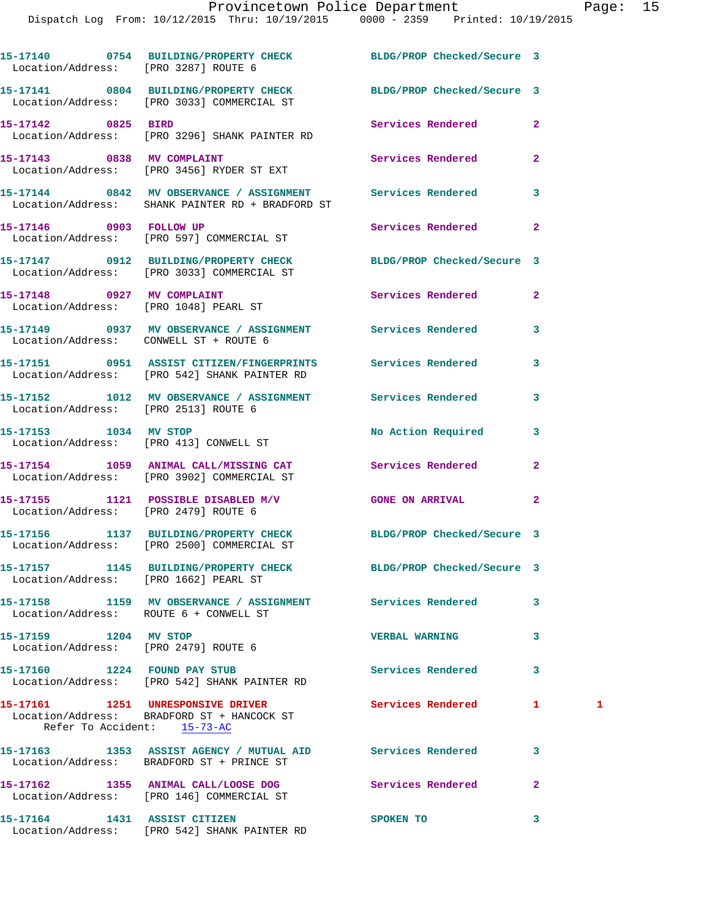| Location/Address: [PRO 3287] ROUTE 6                                | 15-17140 0754 BUILDING/PROPERTY CHECK BLDG/PROP Checked/Secure 3                                               |                            |                |   |
|---------------------------------------------------------------------|----------------------------------------------------------------------------------------------------------------|----------------------------|----------------|---|
|                                                                     | 15-17141 0804 BUILDING/PROPERTY CHECK BLDG/PROP Checked/Secure 3<br>Location/Address: [PRO 3033] COMMERCIAL ST |                            |                |   |
| 15-17142 0825 BIRD                                                  | Location/Address: [PRO 3296] SHANK PAINTER RD                                                                  | Services Rendered          | $\mathbf{2}$   |   |
|                                                                     | 15-17143 0838 MV COMPLAINT<br>Location/Address: [PRO 3456] RYDER ST EXT                                        | Services Rendered          | $\mathbf{2}$   |   |
|                                                                     | 15-17144 0842 MV OBSERVANCE / ASSIGNMENT Services Rendered<br>Location/Address: SHANK PAINTER RD + BRADFORD ST |                            | 3              |   |
| 15-17146 0903 FOLLOW UP                                             | Location/Address: [PRO 597] COMMERCIAL ST                                                                      | Services Rendered          | $\overline{2}$ |   |
|                                                                     | 15-17147 0912 BUILDING/PROPERTY CHECK<br>Location/Address: [PRO 3033] COMMERCIAL ST                            | BLDG/PROP Checked/Secure 3 |                |   |
| 15-17148 0927 MV COMPLAINT<br>Location/Address: [PRO 1048] PEARL ST |                                                                                                                | Services Rendered          | $\mathbf{2}$   |   |
| Location/Address: CONWELL ST + ROUTE 6                              | 15-17149 0937 MV OBSERVANCE / ASSIGNMENT Services Rendered                                                     |                            | 3              |   |
|                                                                     | 15-17151  0951  ASSIST CITIZEN/FINGERPRINTS  Services Rendered<br>Location/Address: [PRO 542] SHANK PAINTER RD |                            | 3              |   |
| Location/Address: [PRO 2513] ROUTE 6                                | 15-17152 1012 MV OBSERVANCE / ASSIGNMENT Services Rendered                                                     |                            | 3              |   |
| 15-17153 1034 MV STOP                                               | Location/Address: [PRO 413] CONWELL ST                                                                         | No Action Required         | 3              |   |
|                                                                     | 15-17154 1059 ANIMAL CALL/MISSING CAT Services Rendered<br>Location/Address: [PRO 3902] COMMERCIAL ST          |                            | $\overline{2}$ |   |
| Location/Address: [PRO 2479] ROUTE 6                                | 15-17155 1121 POSSIBLE DISABLED M/V                                                                            | <b>GONE ON ARRIVAL</b>     | $\overline{2}$ |   |
|                                                                     | 15-17156 1137 BUILDING/PROPERTY CHECK BLDG/PROP Checked/Secure 3<br>Location/Address: [PRO 2500] COMMERCIAL ST |                            |                |   |
| Location/Address: [PRO 1662] PEARL ST                               | 15-17157 1145 BUILDING/PROPERTY CHECK BLDG/PROP Checked/Secure 3                                               |                            |                |   |
| Location/Address: ROUTE 6 + CONWELL ST                              | 15-17158 1159 MV OBSERVANCE / ASSIGNMENT Services Rendered                                                     |                            | 3              |   |
| 15-17159 1204 MV STOP<br>Location/Address: [PRO 2479] ROUTE 6       |                                                                                                                | <b>VERBAL WARNING</b>      | 3              |   |
|                                                                     | 15-17160 1224 FOUND PAY STUB<br>Location/Address: [PRO 542] SHANK PAINTER RD                                   | <b>Services Rendered</b>   | 3              |   |
| Refer To Accident: 15-73-AC                                         | 15-17161 1251 UNRESPONSIVE DRIVER<br>Location/Address: BRADFORD ST + HANCOCK ST                                | Services Rendered          | 1              | 1 |
|                                                                     | 15-17163 1353 ASSIST AGENCY / MUTUAL AID Services Rendered<br>Location/Address: BRADFORD ST + PRINCE ST        |                            | 3              |   |
|                                                                     | 15-17162 1355 ANIMAL CALL/LOOSE DOG<br>Location/Address: [PRO 146] COMMERCIAL ST                               | <b>Services Rendered</b>   | $\mathbf{2}$   |   |
| 15-17164 1431 ASSIST CITIZEN                                        |                                                                                                                | <b>SPOKEN TO</b>           | 3              |   |

Location/Address: [PRO 542] SHANK PAINTER RD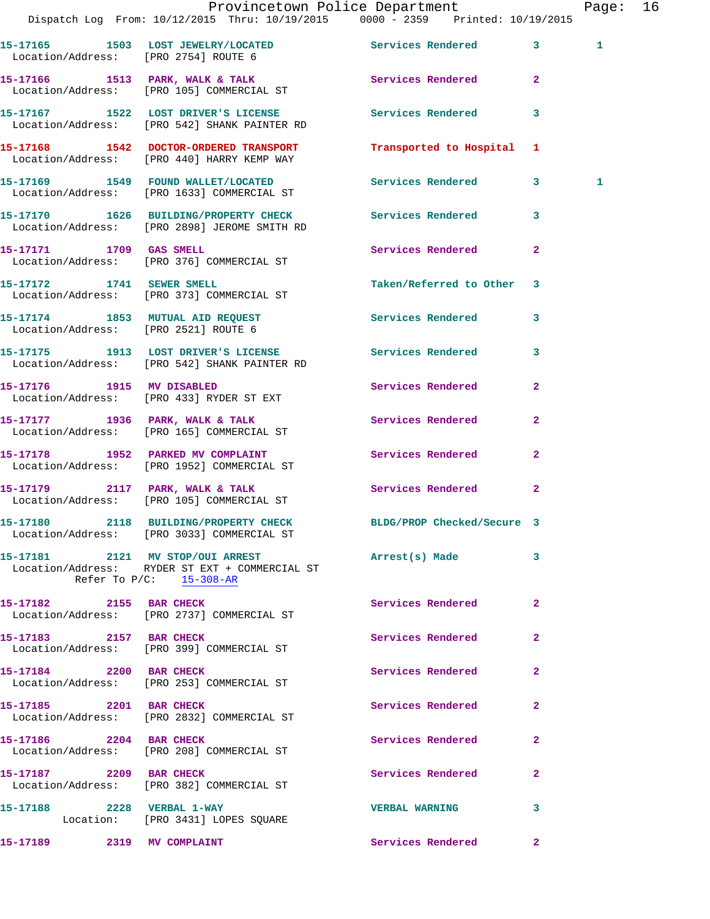|                                      | Dispatch Log From: 10/12/2015 Thru: 10/19/2015 0000 - 2359 Printed: 10/19/2015                                   | Provincetown Police Department |                | Page: 16     |  |
|--------------------------------------|------------------------------------------------------------------------------------------------------------------|--------------------------------|----------------|--------------|--|
| Location/Address: [PRO 2754] ROUTE 6 | 15-17165 1503 LOST JEWELRY/LOCATED Services Rendered 3                                                           |                                |                | $\mathbf{1}$ |  |
|                                      | 15-17166 1513 PARK, WALK & TALK 1991 Services Rendered 2<br>Location/Address: [PRO 105] COMMERCIAL ST            |                                |                |              |  |
|                                      |                                                                                                                  | Services Rendered 3            |                |              |  |
|                                      | 15-17168 1542 DOCTOR-ORDERED TRANSPORT<br>Location/Address: [PRO 440] HARRY KEMP WAY                             | Transported to Hospital 1      |                |              |  |
|                                      | 15-17169 1549 FOUND WALLET/LOCATED<br>Location/Address: [PRO 1633] COMMERCIAL ST                                 | Services Rendered 3            |                | $\mathbf{1}$ |  |
|                                      | 15-17170 1626 BUILDING/PROPERTY CHECK Services Rendered 3<br>Location/Address: [PRO 2898] JEROME SMITH RD        |                                |                |              |  |
|                                      | 15-17171 1709 GAS SMELL<br>Location/Address: [PRO 376] COMMERCIAL ST                                             | Services Rendered 2            |                |              |  |
|                                      | 15-17172 1741 SEWER SMELL<br>Location/Address: [PRO 373] COMMERCIAL ST                                           | Taken/Referred to Other 3      |                |              |  |
|                                      | 15-17174 1853 MUTUAL AID REQUEST 1997 Services Rendered 13<br>Location/Address: [PRO 2521] ROUTE 6               |                                |                |              |  |
|                                      | 15-17175 1913 LOST DRIVER'S LICENSE 10 Services Rendered 3<br>Location/Address: [PRO 542] SHANK PAINTER RD       |                                |                |              |  |
|                                      | 15-17176 1915 MV DISABLED<br>Location/Address: [PRO 433] RYDER ST EXT                                            | Services Rendered              | $\overline{2}$ |              |  |
|                                      | 15-17177 1936 PARK, WALK & TALK<br>Location/Address: [PRO 165] COMMERCIAL ST                                     | Services Rendered              | $\mathbf{2}$   |              |  |
|                                      | 15-17178 1952 PARKED MV COMPLAINT Services Rendered<br>Location/Address: [PRO 1952] COMMERCIAL ST                |                                | $\overline{2}$ |              |  |
|                                      | 15-17179 2117 PARK, WALK & TALK<br>Location/Address: [PRO 105] COMMERCIAL ST                                     | Services Rendered 2            |                |              |  |
|                                      | 15-17180 2118 BUILDING/PROPERTY CHECK BLDG/PROP Checked/Secure 3<br>Location/Address: [PRO 3033] COMMERCIAL ST   |                                |                |              |  |
|                                      | 15-17181 2121 MV STOP/OUI ARREST<br>Location/Address: RYDER ST EXT + COMMERCIAL ST<br>Refer To $P/C$ : 15-308-AR | Arrest(s) Made                 | $\mathbf{3}$   |              |  |
| 15-17182 2155 BAR CHECK              | Location/Address: [PRO 2737] COMMERCIAL ST                                                                       | Services Rendered              | $\mathbf{2}$   |              |  |
| 15-17183 2157 BAR CHECK              | Location/Address: [PRO 399] COMMERCIAL ST                                                                        | Services Rendered              | $\mathbf{2}$   |              |  |
| 15-17184 2200 BAR CHECK              | Location/Address: [PRO 253] COMMERCIAL ST                                                                        | Services Rendered              | $\mathbf{2}$   |              |  |
|                                      | 15-17185 2201 BAR CHECK<br>Location/Address: [PRO 2832] COMMERCIAL ST                                            | Services Rendered              | $\mathbf{2}$   |              |  |
| 15-17186 2204 BAR CHECK              | Location/Address: [PRO 208] COMMERCIAL ST                                                                        | Services Rendered              | $\mathbf{2}$   |              |  |
|                                      | 15-17187 2209 BAR CHECK<br>Location/Address: [PRO 382] COMMERCIAL ST                                             | Services Rendered              | $\mathbf{2}$   |              |  |
| 15-17188 2228 VERBAL 1-WAY           | Location: [PRO 3431] LOPES SQUARE                                                                                | <b>VERBAL WARNING</b>          | 3              |              |  |
| 15-17189 2319 MV COMPLAINT           |                                                                                                                  | Services Rendered 2            |                |              |  |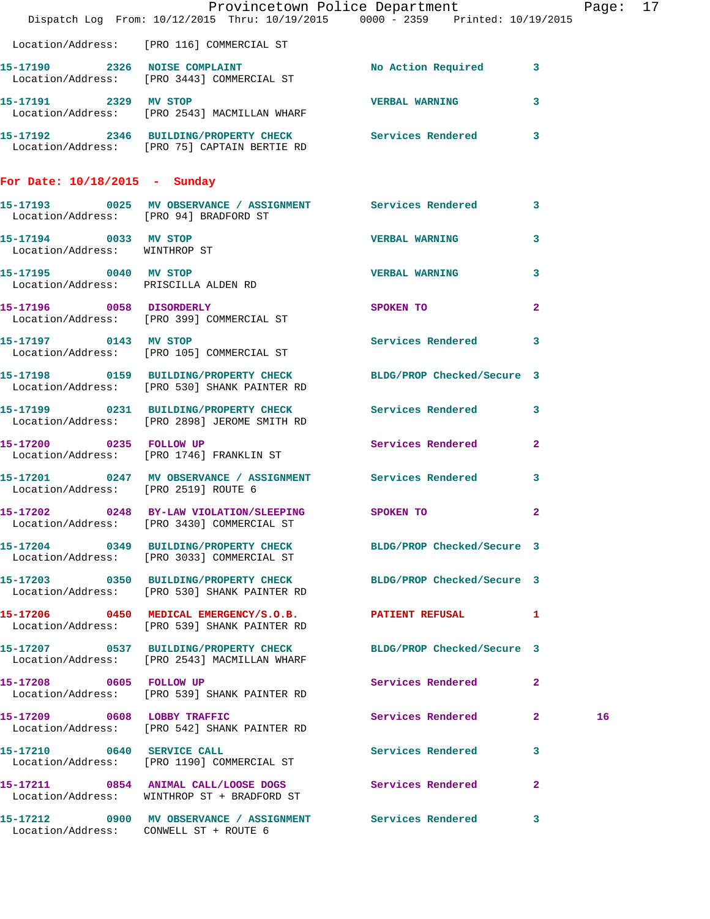|                                                        | Dispatch Log From: 10/12/2015 Thru: 10/19/2015 0000 - 2359 Printed: 10/19/2015                                   | Provincetown Police Department |                | Page: 17 |  |
|--------------------------------------------------------|------------------------------------------------------------------------------------------------------------------|--------------------------------|----------------|----------|--|
|                                                        | Location/Address: [PRO 116] COMMERCIAL ST                                                                        |                                |                |          |  |
|                                                        | 15-17190 2326 NOISE COMPLAINT<br>Location/Address: [PRO 3443] COMMERCIAL ST                                      | No Action Required 3           |                |          |  |
|                                                        | 15-17191 2329 MV STOP<br>Location/Address: [PRO 2543] MACMILLAN WHARF                                            | VERBAL WARNING 3               |                |          |  |
|                                                        | 15-17192 2346 BUILDING/PROPERTY CHECK Services Rendered 3<br>Location/Address: [PRO 75] CAPTAIN BERTIE RD        |                                |                |          |  |
| For Date: $10/18/2015$ - Sunday                        |                                                                                                                  |                                |                |          |  |
| Location/Address: [PRO 94] BRADFORD ST                 | 15-17193 0025 MV OBSERVANCE / ASSIGNMENT Services Rendered 3                                                     |                                |                |          |  |
| 15-17194 0033 MV STOP<br>Location/Address: WINTHROP ST |                                                                                                                  | <b>VERBAL WARNING</b>          | $\mathbf{3}$   |          |  |
| Location/Address: PRISCILLA ALDEN RD                   | 15-17195 0040 MV STOP                                                                                            | <b>VERBAL WARNING</b>          | 3              |          |  |
|                                                        | 15-17196 0058 DISORDERLY<br>Location/Address: [PRO 399] COMMERCIAL ST                                            | SPOKEN TO                      | $\overline{2}$ |          |  |
|                                                        | 15-17197 0143 MV STOP<br>Location/Address: [PRO 105] COMMERCIAL ST                                               | Services Rendered 3            |                |          |  |
|                                                        | 15-17198 0159 BUILDING/PROPERTY CHECK BLDG/PROP Checked/Secure 3<br>Location/Address: [PRO 530] SHANK PAINTER RD |                                |                |          |  |
|                                                        | 15-17199 0231 BUILDING/PROPERTY CHECK Services Rendered 3<br>Location/Address: [PRO 2898] JEROME SMITH RD        |                                |                |          |  |
| 15-17200 0235 FOLLOW UP                                | Location/Address: [PRO 1746] FRANKLIN ST                                                                         | Services Rendered 2            |                |          |  |
| Location/Address: [PRO 2519] ROUTE 6                   | 15-17201 0247 MV OBSERVANCE / ASSIGNMENT Services Rendered 3                                                     |                                |                |          |  |
|                                                        | 15-17202 0248 BY-LAW VIOLATION/SLEEPING SPOKEN TO<br>Location/Address: [PRO 3430] COMMERCIAL ST                  |                                | $\mathbf{2}$   |          |  |
|                                                        | 15-17204 0349 BUILDING/PROPERTY CHECK BLDG/PROP Checked/Secure 3<br>Location/Address: [PRO 3033] COMMERCIAL ST   |                                |                |          |  |
|                                                        | 15-17203 0350 BUILDING/PROPERTY CHECK BLDG/PROP Checked/Secure 3<br>Location/Address: [PRO 530] SHANK PAINTER RD |                                |                |          |  |
|                                                        | 15-17206 0450 MEDICAL EMERGENCY/S.O.B. PATIENT REFUSAL 1<br>Location/Address: [PRO 539] SHANK PAINTER RD         |                                |                |          |  |
|                                                        | 15-17207 0537 BUILDING/PROPERTY CHECK<br>Location/Address: [PRO 2543] MACMILLAN WHARF                            | BLDG/PROP Checked/Secure 3     |                |          |  |
|                                                        | 15-17208 0605 FOLLOW UP<br>Location/Address: [PRO 539] SHANK PAINTER RD                                          | Services Rendered              | $\mathbf{2}$   |          |  |
|                                                        | 15-17209 0608 LOBBY TRAFFIC<br>Location/Address: [PRO 542] SHANK PAINTER RD                                      | Services Rendered 2            |                | 16       |  |
|                                                        | 15-17210 0640 SERVICE CALL<br>Location/Address: [PRO 1190] COMMERCIAL ST                                         | Services Rendered 3            |                |          |  |
|                                                        | 15-17211 0854 ANIMAL CALL/LOOSE DOGS Services Rendered 2<br>Location/Address: WINTHROP ST + BRADFORD ST          |                                |                |          |  |
| Location/Address: CONWELL ST + ROUTE 6                 | 15-17212 0900 MV OBSERVANCE / ASSIGNMENT Services Rendered 3                                                     |                                |                |          |  |
|                                                        |                                                                                                                  |                                |                |          |  |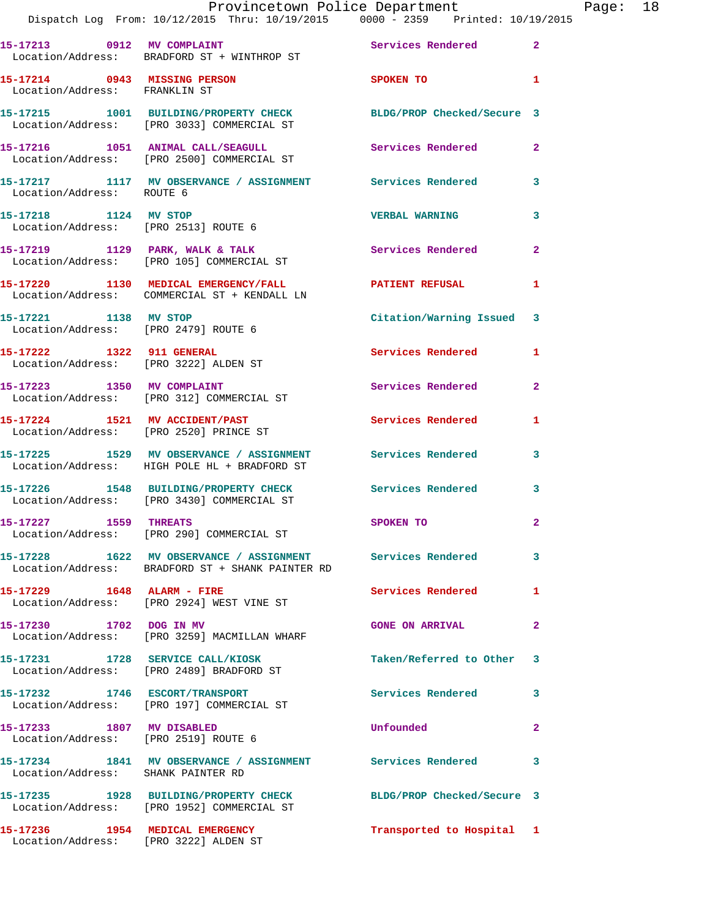|                                       | Dispatch Log From: 10/12/2015 Thru: 10/19/2015 0000 - 2359 Printed: 10/19/2015                                       | Provincetown Police Department |                | Page: 18 |  |
|---------------------------------------|----------------------------------------------------------------------------------------------------------------------|--------------------------------|----------------|----------|--|
|                                       | 15-17213 0912 MV COMPLAINT<br>Location/Address: BRADFORD ST + WINTHROP ST                                            | Services Rendered 2            |                |          |  |
| Location/Address: FRANKLIN ST         | 15-17214 0943 MISSING PERSON SPOKEN TO 1                                                                             |                                |                |          |  |
|                                       | 15-17215   1001   BUILDING/PROPERTY CHECK   BLDG/PROP Checked/Secure 3<br>Location/Address: [PRO 3033] COMMERCIAL ST |                                |                |          |  |
|                                       | 15-17216 1051 ANIMAL CALL/SEAGULL Services Rendered 2<br>Location/Address: [PRO 2500] COMMERCIAL ST                  |                                |                |          |  |
| Location/Address: ROUTE 6             | 15-17217 1117 MV OBSERVANCE / ASSIGNMENT Services Rendered 3                                                         |                                |                |          |  |
|                                       | 15-17218 1124 MV STOP<br>Location/Address: [PRO 2513] ROUTE 6                                                        | <b>VERBAL WARNING</b>          | 3              |          |  |
|                                       | 15-17219 1129 PARK, WALK & TALK 1988 Services Rendered 2<br>Location/Address: [PRO 105] COMMERCIAL ST                |                                |                |          |  |
|                                       | 15-17220 1130 MEDICAL EMERGENCY/FALL <b>PATIENT REFUSAL</b><br>Location/Address: COMMERCIAL ST + KENDALL LN          |                                | 1              |          |  |
| 15-17221 1138 MV STOP                 | Location/Address: [PRO 2479] ROUTE 6                                                                                 | Citation/Warning Issued 3      |                |          |  |
| Location/Address: [PRO 3222] ALDEN ST | 15-17222 1322 911 GENERAL                                                                                            | Services Rendered 1            |                |          |  |
|                                       | 15-17223 1350 MV COMPLAINT<br>Location/Address: [PRO 312] COMMERCIAL ST                                              | Services Rendered              | $\mathbf{2}$   |          |  |
|                                       | 15-17224 1521 MV ACCIDENT/PAST Services Rendered<br>Location/Address: [PRO 2520] PRINCE ST                           |                                | 1              |          |  |
|                                       | 15-17225 1529 MV OBSERVANCE / ASSIGNMENT Services Rendered 3<br>Location/Address: HIGH POLE HL + BRADFORD ST         |                                |                |          |  |
|                                       | 15-17226 1548 BUILDING/PROPERTY CHECK Services Rendered 3<br>Location/Address: [PRO 3430] COMMERCIAL ST              |                                |                |          |  |
|                                       | 15-17227 1559 THREATS<br>Location/Address: [PRO 290] COMMERCIAL ST                                                   | SPOKEN TO                      |                |          |  |
|                                       | 15-17228 1622 MV OBSERVANCE / ASSIGNMENT Services Rendered<br>Location/Address: BRADFORD ST + SHANK PAINTER RD       |                                | $\mathbf{3}$   |          |  |
|                                       | Location/Address: [PRO 2924] WEST VINE ST                                                                            | Services Rendered 1            |                |          |  |
|                                       | 15-17230 1702 DOG IN MV<br>Location/Address: [PRO 3259] MACMILLAN WHARF                                              | <b>GONE ON ARRIVAL</b>         | $\mathbf{2}$   |          |  |
|                                       | 15-17231 1728 SERVICE CALL/KIOSK<br>Location/Address: [PRO 2489] BRADFORD ST                                         | Taken/Referred to Other 3      |                |          |  |
|                                       | 15-17232 1746 ESCORT/TRANSPORT<br>Location/Address: [PRO 197] COMMERCIAL ST                                          | Services Rendered              | 3              |          |  |
| 15-17233 1807 MV DISABLED             | Location/Address: [PRO 2519] ROUTE 6                                                                                 | <b>Unfounded</b>               | $\overline{2}$ |          |  |
| Location/Address: SHANK PAINTER RD    | 15-17234 1841 MV OBSERVANCE / ASSIGNMENT Services Rendered                                                           |                                | 3              |          |  |
|                                       | 15-17235 1928 BUILDING/PROPERTY CHECK BLDG/PROP Checked/Secure 3<br>Location/Address: [PRO 1952] COMMERCIAL ST       |                                |                |          |  |
| Location/Address: [PRO 3222] ALDEN ST | 15-17236 1954 MEDICAL EMERGENCY                                                                                      | Transported to Hospital 1      |                |          |  |